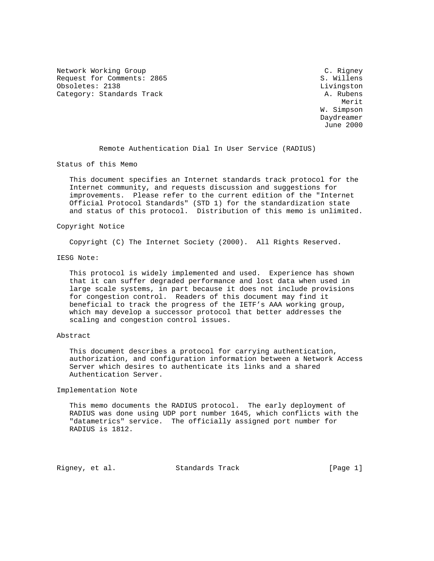Network Working Group C. Rigney Request for Comments: 2865 S. Willens Obsoletes: 2138 Livingston and the United States of the United States of the United States of the United States Category: Standards Track A. Rubens

**Merit** Merit **Merit**  W. Simpson Daydreamer June 2000

Remote Authentication Dial In User Service (RADIUS)

Status of this Memo

 This document specifies an Internet standards track protocol for the Internet community, and requests discussion and suggestions for improvements. Please refer to the current edition of the "Internet Official Protocol Standards" (STD 1) for the standardization state and status of this protocol. Distribution of this memo is unlimited.

### Copyright Notice

Copyright (C) The Internet Society (2000). All Rights Reserved.

### IESG Note:

 This protocol is widely implemented and used. Experience has shown that it can suffer degraded performance and lost data when used in large scale systems, in part because it does not include provisions for congestion control. Readers of this document may find it beneficial to track the progress of the IETF's AAA working group, which may develop a successor protocol that better addresses the scaling and congestion control issues.

# Abstract

 This document describes a protocol for carrying authentication, authorization, and configuration information between a Network Access Server which desires to authenticate its links and a shared Authentication Server.

Implementation Note

 This memo documents the RADIUS protocol. The early deployment of RADIUS was done using UDP port number 1645, which conflicts with the "datametrics" service. The officially assigned port number for RADIUS is 1812.

Rigney, et al. Standards Track [Page 1]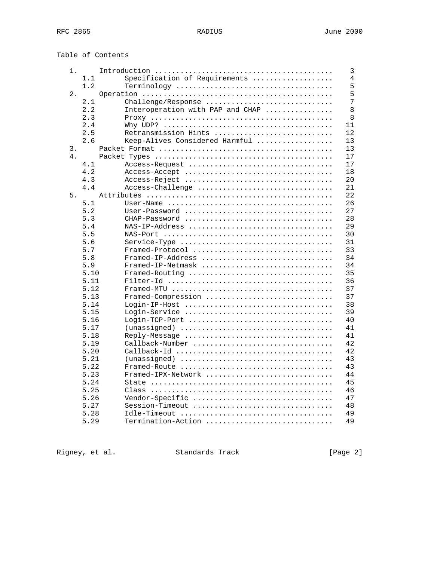Table of Contents

| 1. | 1.1        |                                                                                  | 3              |
|----|------------|----------------------------------------------------------------------------------|----------------|
|    | 1.2        | Specification of Requirements                                                    | $\overline{4}$ |
|    |            |                                                                                  | 5<br>5         |
| 2. |            |                                                                                  |                |
|    | 2.1        | Challenge/Response                                                               | 7              |
|    | 2.2        | Interoperation with PAP and CHAP                                                 | 8              |
|    | 2.3        |                                                                                  | 8              |
|    | 2.4<br>2.5 |                                                                                  | 11             |
|    |            | Retransmission Hints                                                             | 12             |
|    | 2.6        | Keep-Alives Considered Harmful                                                   | 13             |
| 3. |            |                                                                                  | 13             |
| 4. |            |                                                                                  | 17             |
|    | 4.1        | Access-Request                                                                   | 17             |
|    | 4.2        | Access-Accept                                                                    | 18             |
|    | 4.3        | Access-Reject                                                                    | 20             |
|    | 4.4        | Access-Challenge                                                                 | 21             |
| 5. |            |                                                                                  | 22             |
|    | 5.1        |                                                                                  | 26             |
|    | 5.2<br>5.3 |                                                                                  | 27<br>28       |
|    | 5.4        | CHAP-Password                                                                    |                |
|    |            |                                                                                  | 29             |
|    | 5.5        |                                                                                  | 30             |
|    | 5.6<br>5.7 | $Service-Type \dots \dots \dots \dots \dots \dots \dots \dots \dots \dots \dots$ | 31<br>33       |
|    |            | Framed-Protocol                                                                  |                |
|    | 5.8<br>5.9 | Framed-IP-Address                                                                | 34<br>34       |
|    | 5.10       |                                                                                  | 35             |
|    | 5.11       | Framed-Routing                                                                   | 36             |
|    | 5.12       |                                                                                  | 37             |
|    | 5.13       | Framed-Compression                                                               | 37             |
|    | 5.14       |                                                                                  | 38             |
|    | 5.15       | Login-Service                                                                    | 39             |
|    | 5.16       | Login-TCP-Port                                                                   | 40             |
|    | 5.17       |                                                                                  | 41             |
|    | 5.18       | Reply-Message                                                                    | 41             |
|    | 5.19       | Callback-Number                                                                  | 42             |
|    | 5.20       |                                                                                  | 42             |
|    | 5.21       |                                                                                  | 43             |
|    | 5.22       | Framed-Route                                                                     | 43             |
|    | 5.23       | Framed-IPX-Network                                                               | 44             |
|    | 5.24       |                                                                                  | 45             |
|    | 5.25       |                                                                                  | 46             |
|    | 5.26       | Vendor-Specific                                                                  | 47             |
|    | 5.27       | Session-Timeout                                                                  | 48             |
|    | 5.28       |                                                                                  | 49             |
|    | 5.29       |                                                                                  |                |
|    |            |                                                                                  | 49             |

Rigney, et al. Standards Track [Page 2]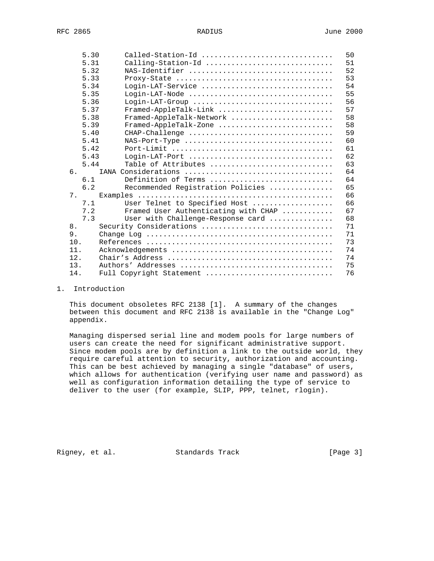| 5.30 | Called-Station-Id                    | 50 |
|------|--------------------------------------|----|
| 5.31 | Calling-Station-Id                   | 51 |
| 5.32 | NAS-Identifier                       | 52 |
| 5.33 |                                      | 53 |
| 5.34 | Login-LAT-Service                    | 54 |
| 5.35 | Login-LAT-Node                       | 55 |
| 5.36 | Login-LAT-Group                      | 56 |
| 5.37 | Framed-AppleTalk-Link                | 57 |
| 5.38 | Framed-AppleTalk-Network             | 58 |
| 5.39 | Framed-AppleTalk-Zone                | 58 |
| 5.40 | CHAP-Challenge                       | 59 |
| 5.41 |                                      | 60 |
| 5.42 |                                      | 61 |
| 5.43 |                                      | 62 |
| 5.44 | Table of Attributes                  | 63 |
| რ.   | IANA Considerations                  | 64 |
| 6.1  | Definition of Terms                  | 64 |
| 6.2  | Recommended Registration Policies    | 65 |
| 7.   |                                      | 66 |
| 7.1  | User Telnet to Specified Host        | 66 |
| 7.2  | Framed User Authenticating with CHAP | 67 |
| 7.3  | User with Challenge-Response card    | 68 |
| 8.   | Security Considerations              | 71 |
| 9.   |                                      | 71 |
| 10.  |                                      | 73 |
| 11.  |                                      | 74 |
| 12.  |                                      | 74 |
| 13.  |                                      | 75 |
| 14.  | Full Copyright Statement             | 76 |

### 1. Introduction

 This document obsoletes RFC 2138 [1]. A summary of the changes between this document and RFC 2138 is available in the "Change Log" appendix.

 Managing dispersed serial line and modem pools for large numbers of users can create the need for significant administrative support. Since modem pools are by definition a link to the outside world, they require careful attention to security, authorization and accounting. This can be best achieved by managing a single "database" of users, which allows for authentication (verifying user name and password) as well as configuration information detailing the type of service to deliver to the user (for example, SLIP, PPP, telnet, rlogin).

Rigney, et al. Standards Track [Page 3]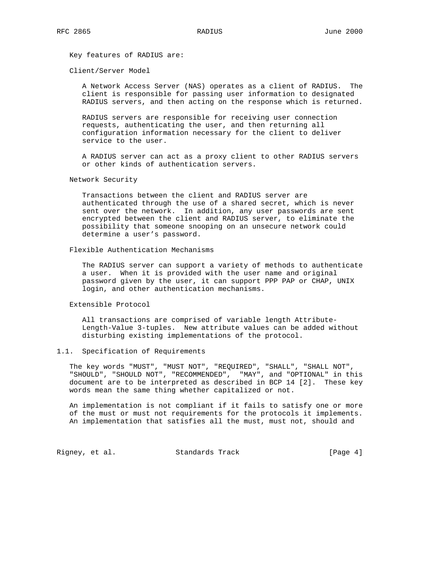Key features of RADIUS are:

Client/Server Model

 A Network Access Server (NAS) operates as a client of RADIUS. The client is responsible for passing user information to designated RADIUS servers, and then acting on the response which is returned.

 RADIUS servers are responsible for receiving user connection requests, authenticating the user, and then returning all configuration information necessary for the client to deliver service to the user.

 A RADIUS server can act as a proxy client to other RADIUS servers or other kinds of authentication servers.

Network Security

 Transactions between the client and RADIUS server are authenticated through the use of a shared secret, which is never sent over the network. In addition, any user passwords are sent encrypted between the client and RADIUS server, to eliminate the possibility that someone snooping on an unsecure network could determine a user's password.

Flexible Authentication Mechanisms

 The RADIUS server can support a variety of methods to authenticate a user. When it is provided with the user name and original password given by the user, it can support PPP PAP or CHAP, UNIX login, and other authentication mechanisms.

Extensible Protocol

 All transactions are comprised of variable length Attribute- Length-Value 3-tuples. New attribute values can be added without disturbing existing implementations of the protocol.

### 1.1. Specification of Requirements

 The key words "MUST", "MUST NOT", "REQUIRED", "SHALL", "SHALL NOT", "SHOULD", "SHOULD NOT", "RECOMMENDED", "MAY", and "OPTIONAL" in this document are to be interpreted as described in BCP 14 [2]. These key words mean the same thing whether capitalized or not.

 An implementation is not compliant if it fails to satisfy one or more of the must or must not requirements for the protocols it implements. An implementation that satisfies all the must, must not, should and

Rigney, et al. Standards Track [Page 4]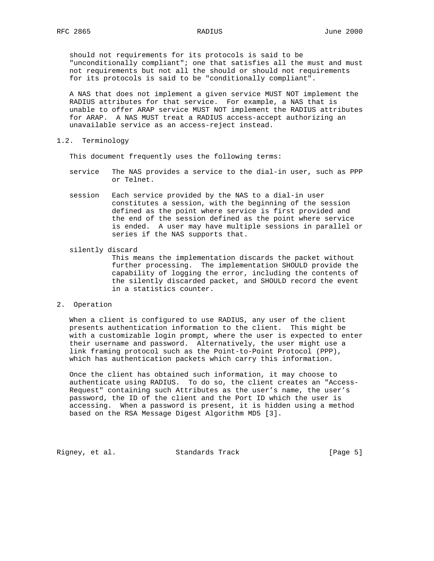should not requirements for its protocols is said to be "unconditionally compliant"; one that satisfies all the must and must not requirements but not all the should or should not requirements for its protocols is said to be "conditionally compliant".

 A NAS that does not implement a given service MUST NOT implement the RADIUS attributes for that service. For example, a NAS that is unable to offer ARAP service MUST NOT implement the RADIUS attributes for ARAP. A NAS MUST treat a RADIUS access-accept authorizing an unavailable service as an access-reject instead.

1.2. Terminology

This document frequently uses the following terms:

- service The NAS provides a service to the dial-in user, such as PPP or Telnet.
- session Each service provided by the NAS to a dial-in user constitutes a session, with the beginning of the session defined as the point where service is first provided and the end of the session defined as the point where service is ended. A user may have multiple sessions in parallel or series if the NAS supports that.
- silently discard

 This means the implementation discards the packet without further processing. The implementation SHOULD provide the capability of logging the error, including the contents of the silently discarded packet, and SHOULD record the event in a statistics counter.

2. Operation

 When a client is configured to use RADIUS, any user of the client presents authentication information to the client. This might be with a customizable login prompt, where the user is expected to enter their username and password. Alternatively, the user might use a link framing protocol such as the Point-to-Point Protocol (PPP), which has authentication packets which carry this information.

 Once the client has obtained such information, it may choose to authenticate using RADIUS. To do so, the client creates an "Access- Request" containing such Attributes as the user's name, the user's password, the ID of the client and the Port ID which the user is accessing. When a password is present, it is hidden using a method based on the RSA Message Digest Algorithm MD5 [3].

Rigney, et al. Standards Track [Page 5]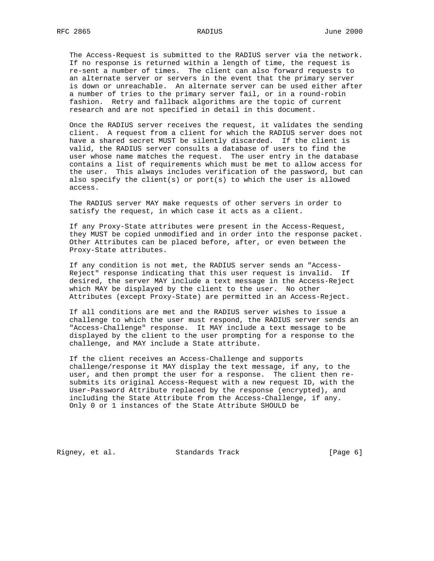The Access-Request is submitted to the RADIUS server via the network. If no response is returned within a length of time, the request is re-sent a number of times. The client can also forward requests to an alternate server or servers in the event that the primary server is down or unreachable. An alternate server can be used either after a number of tries to the primary server fail, or in a round-robin fashion. Retry and fallback algorithms are the topic of current research and are not specified in detail in this document.

 Once the RADIUS server receives the request, it validates the sending client. A request from a client for which the RADIUS server does not have a shared secret MUST be silently discarded. If the client is valid, the RADIUS server consults a database of users to find the user whose name matches the request. The user entry in the database contains a list of requirements which must be met to allow access for the user. This always includes verification of the password, but can also specify the client(s) or port(s) to which the user is allowed access.

 The RADIUS server MAY make requests of other servers in order to satisfy the request, in which case it acts as a client.

 If any Proxy-State attributes were present in the Access-Request, they MUST be copied unmodified and in order into the response packet. Other Attributes can be placed before, after, or even between the Proxy-State attributes.

 If any condition is not met, the RADIUS server sends an "Access- Reject" response indicating that this user request is invalid. If desired, the server MAY include a text message in the Access-Reject which MAY be displayed by the client to the user. No other Attributes (except Proxy-State) are permitted in an Access-Reject.

 If all conditions are met and the RADIUS server wishes to issue a challenge to which the user must respond, the RADIUS server sends an "Access-Challenge" response. It MAY include a text message to be displayed by the client to the user prompting for a response to the challenge, and MAY include a State attribute.

 If the client receives an Access-Challenge and supports challenge/response it MAY display the text message, if any, to the user, and then prompt the user for a response. The client then re submits its original Access-Request with a new request ID, with the User-Password Attribute replaced by the response (encrypted), and including the State Attribute from the Access-Challenge, if any. Only 0 or 1 instances of the State Attribute SHOULD be

Rigney, et al. Standards Track [Page 6]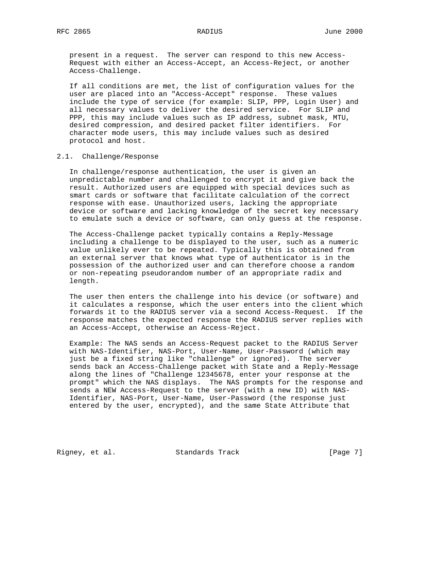present in a request. The server can respond to this new Access- Request with either an Access-Accept, an Access-Reject, or another Access-Challenge.

 If all conditions are met, the list of configuration values for the user are placed into an "Access-Accept" response. These values include the type of service (for example: SLIP, PPP, Login User) and all necessary values to deliver the desired service. For SLIP and PPP, this may include values such as IP address, subnet mask, MTU, desired compression, and desired packet filter identifiers. For character mode users, this may include values such as desired protocol and host.

## 2.1. Challenge/Response

 In challenge/response authentication, the user is given an unpredictable number and challenged to encrypt it and give back the result. Authorized users are equipped with special devices such as smart cards or software that facilitate calculation of the correct response with ease. Unauthorized users, lacking the appropriate device or software and lacking knowledge of the secret key necessary to emulate such a device or software, can only guess at the response.

 The Access-Challenge packet typically contains a Reply-Message including a challenge to be displayed to the user, such as a numeric value unlikely ever to be repeated. Typically this is obtained from an external server that knows what type of authenticator is in the possession of the authorized user and can therefore choose a random or non-repeating pseudorandom number of an appropriate radix and length.

 The user then enters the challenge into his device (or software) and it calculates a response, which the user enters into the client which forwards it to the RADIUS server via a second Access-Request. If the response matches the expected response the RADIUS server replies with an Access-Accept, otherwise an Access-Reject.

 Example: The NAS sends an Access-Request packet to the RADIUS Server with NAS-Identifier, NAS-Port, User-Name, User-Password (which may just be a fixed string like "challenge" or ignored). The server sends back an Access-Challenge packet with State and a Reply-Message along the lines of "Challenge 12345678, enter your response at the prompt" which the NAS displays. The NAS prompts for the response and sends a NEW Access-Request to the server (with a new ID) with NAS- Identifier, NAS-Port, User-Name, User-Password (the response just entered by the user, encrypted), and the same State Attribute that

Rigney, et al. Standards Track [Page 7]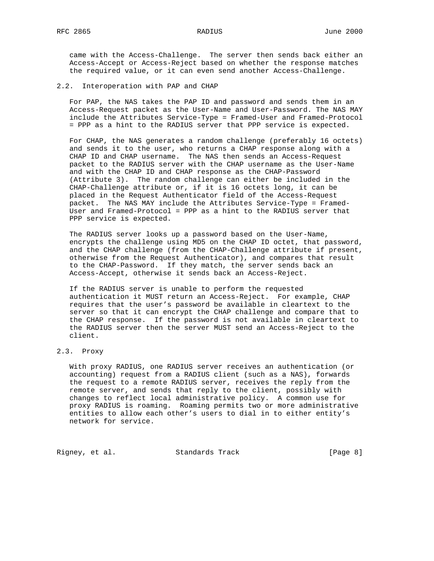came with the Access-Challenge. The server then sends back either an Access-Accept or Access-Reject based on whether the response matches the required value, or it can even send another Access-Challenge.

# 2.2. Interoperation with PAP and CHAP

 For PAP, the NAS takes the PAP ID and password and sends them in an Access-Request packet as the User-Name and User-Password. The NAS MAY include the Attributes Service-Type = Framed-User and Framed-Protocol = PPP as a hint to the RADIUS server that PPP service is expected.

 For CHAP, the NAS generates a random challenge (preferably 16 octets) and sends it to the user, who returns a CHAP response along with a CHAP ID and CHAP username. The NAS then sends an Access-Request packet to the RADIUS server with the CHAP username as the User-Name and with the CHAP ID and CHAP response as the CHAP-Password (Attribute 3). The random challenge can either be included in the CHAP-Challenge attribute or, if it is 16 octets long, it can be placed in the Request Authenticator field of the Access-Request packet. The NAS MAY include the Attributes Service-Type = Framed- User and Framed-Protocol = PPP as a hint to the RADIUS server that PPP service is expected.

 The RADIUS server looks up a password based on the User-Name, encrypts the challenge using MD5 on the CHAP ID octet, that password, and the CHAP challenge (from the CHAP-Challenge attribute if present, otherwise from the Request Authenticator), and compares that result to the CHAP-Password. If they match, the server sends back an Access-Accept, otherwise it sends back an Access-Reject.

 If the RADIUS server is unable to perform the requested authentication it MUST return an Access-Reject. For example, CHAP requires that the user's password be available in cleartext to the server so that it can encrypt the CHAP challenge and compare that to the CHAP response. If the password is not available in cleartext to the RADIUS server then the server MUST send an Access-Reject to the client.

# 2.3. Proxy

 With proxy RADIUS, one RADIUS server receives an authentication (or accounting) request from a RADIUS client (such as a NAS), forwards the request to a remote RADIUS server, receives the reply from the remote server, and sends that reply to the client, possibly with changes to reflect local administrative policy. A common use for proxy RADIUS is roaming. Roaming permits two or more administrative entities to allow each other's users to dial in to either entity's network for service.

Rigney, et al. Standards Track [Page 8]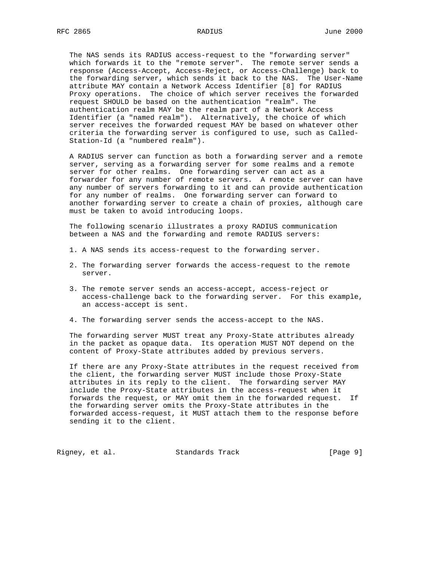The NAS sends its RADIUS access-request to the "forwarding server" which forwards it to the "remote server". The remote server sends a response (Access-Accept, Access-Reject, or Access-Challenge) back to the forwarding server, which sends it back to the NAS. The User-Name attribute MAY contain a Network Access Identifier [8] for RADIUS Proxy operations. The choice of which server receives the forwarded request SHOULD be based on the authentication "realm". The authentication realm MAY be the realm part of a Network Access Identifier (a "named realm"). Alternatively, the choice of which server receives the forwarded request MAY be based on whatever other criteria the forwarding server is configured to use, such as Called- Station-Id (a "numbered realm").

 A RADIUS server can function as both a forwarding server and a remote server, serving as a forwarding server for some realms and a remote server for other realms. One forwarding server can act as a forwarder for any number of remote servers. A remote server can have any number of servers forwarding to it and can provide authentication for any number of realms. One forwarding server can forward to another forwarding server to create a chain of proxies, although care must be taken to avoid introducing loops.

 The following scenario illustrates a proxy RADIUS communication between a NAS and the forwarding and remote RADIUS servers:

- 1. A NAS sends its access-request to the forwarding server.
- 2. The forwarding server forwards the access-request to the remote server.
- 3. The remote server sends an access-accept, access-reject or access-challenge back to the forwarding server. For this example, an access-accept is sent.
- 4. The forwarding server sends the access-accept to the NAS.

 The forwarding server MUST treat any Proxy-State attributes already in the packet as opaque data. Its operation MUST NOT depend on the content of Proxy-State attributes added by previous servers.

 If there are any Proxy-State attributes in the request received from the client, the forwarding server MUST include those Proxy-State attributes in its reply to the client. The forwarding server MAY include the Proxy-State attributes in the access-request when it forwards the request, or MAY omit them in the forwarded request. If the forwarding server omits the Proxy-State attributes in the forwarded access-request, it MUST attach them to the response before sending it to the client.

Rigney, et al. Standards Track [Page 9]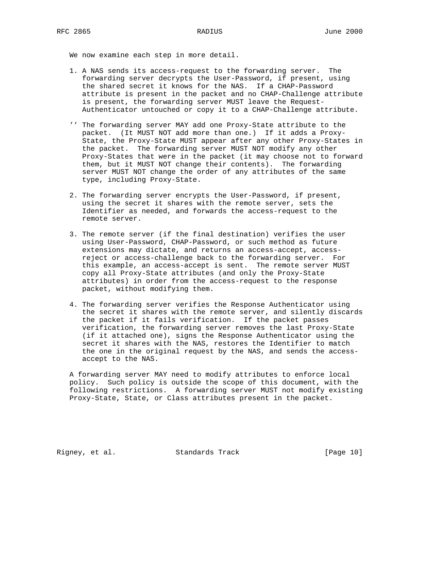We now examine each step in more detail.

- 1. A NAS sends its access-request to the forwarding server. The forwarding server decrypts the User-Password, if present, using the shared secret it knows for the NAS. If a CHAP-Password attribute is present in the packet and no CHAP-Challenge attribute is present, the forwarding server MUST leave the Request- Authenticator untouched or copy it to a CHAP-Challenge attribute.
- '' The forwarding server MAY add one Proxy-State attribute to the packet. (It MUST NOT add more than one.) If it adds a Proxy- State, the Proxy-State MUST appear after any other Proxy-States in the packet. The forwarding server MUST NOT modify any other Proxy-States that were in the packet (it may choose not to forward them, but it MUST NOT change their contents). The forwarding server MUST NOT change the order of any attributes of the same type, including Proxy-State.
- 2. The forwarding server encrypts the User-Password, if present, using the secret it shares with the remote server, sets the Identifier as needed, and forwards the access-request to the remote server.
- 3. The remote server (if the final destination) verifies the user using User-Password, CHAP-Password, or such method as future extensions may dictate, and returns an access-accept, access reject or access-challenge back to the forwarding server. For this example, an access-accept is sent. The remote server MUST copy all Proxy-State attributes (and only the Proxy-State attributes) in order from the access-request to the response packet, without modifying them.
- 4. The forwarding server verifies the Response Authenticator using the secret it shares with the remote server, and silently discards the packet if it fails verification. If the packet passes verification, the forwarding server removes the last Proxy-State (if it attached one), signs the Response Authenticator using the secret it shares with the NAS, restores the Identifier to match the one in the original request by the NAS, and sends the access accept to the NAS.

 A forwarding server MAY need to modify attributes to enforce local policy. Such policy is outside the scope of this document, with the following restrictions. A forwarding server MUST not modify existing Proxy-State, State, or Class attributes present in the packet.

Rigney, et al. Standards Track [Page 10]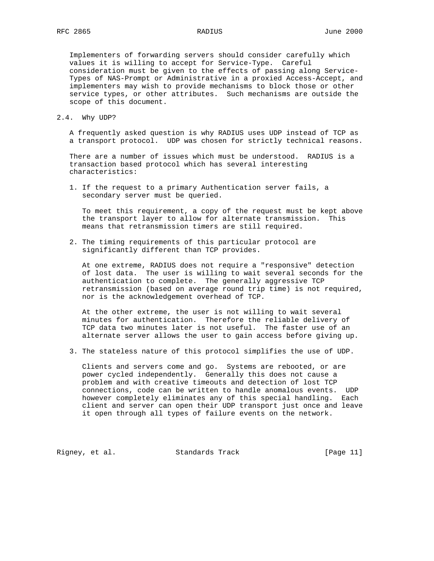Implementers of forwarding servers should consider carefully which values it is willing to accept for Service-Type. Careful consideration must be given to the effects of passing along Service- Types of NAS-Prompt or Administrative in a proxied Access-Accept, and implementers may wish to provide mechanisms to block those or other service types, or other attributes. Such mechanisms are outside the scope of this document.

2.4. Why UDP?

 A frequently asked question is why RADIUS uses UDP instead of TCP as a transport protocol. UDP was chosen for strictly technical reasons.

 There are a number of issues which must be understood. RADIUS is a transaction based protocol which has several interesting characteristics:

 1. If the request to a primary Authentication server fails, a secondary server must be queried.

 To meet this requirement, a copy of the request must be kept above the transport layer to allow for alternate transmission. This means that retransmission timers are still required.

 2. The timing requirements of this particular protocol are significantly different than TCP provides.

 At one extreme, RADIUS does not require a "responsive" detection of lost data. The user is willing to wait several seconds for the authentication to complete. The generally aggressive TCP retransmission (based on average round trip time) is not required, nor is the acknowledgement overhead of TCP.

 At the other extreme, the user is not willing to wait several minutes for authentication. Therefore the reliable delivery of TCP data two minutes later is not useful. The faster use of an alternate server allows the user to gain access before giving up.

3. The stateless nature of this protocol simplifies the use of UDP.

 Clients and servers come and go. Systems are rebooted, or are power cycled independently. Generally this does not cause a problem and with creative timeouts and detection of lost TCP connections, code can be written to handle anomalous events. UDP however completely eliminates any of this special handling. Each client and server can open their UDP transport just once and leave it open through all types of failure events on the network.

Rigney, et al. Standards Track [Page 11]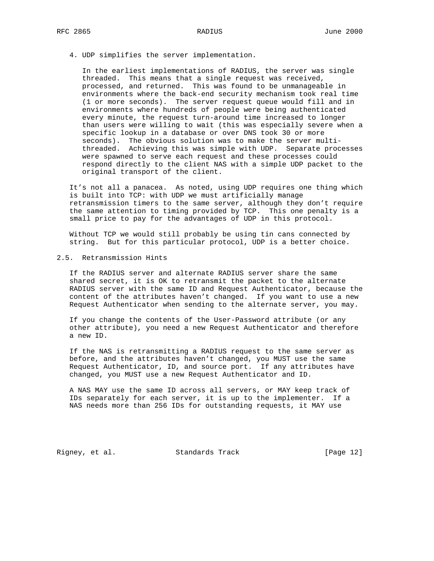4. UDP simplifies the server implementation.

 In the earliest implementations of RADIUS, the server was single threaded. This means that a single request was received, processed, and returned. This was found to be unmanageable in environments where the back-end security mechanism took real time (1 or more seconds). The server request queue would fill and in environments where hundreds of people were being authenticated every minute, the request turn-around time increased to longer than users were willing to wait (this was especially severe when a specific lookup in a database or over DNS took 30 or more seconds). The obvious solution was to make the server multi threaded. Achieving this was simple with UDP. Separate processes were spawned to serve each request and these processes could respond directly to the client NAS with a simple UDP packet to the original transport of the client.

 It's not all a panacea. As noted, using UDP requires one thing which is built into TCP: with UDP we must artificially manage retransmission timers to the same server, although they don't require the same attention to timing provided by TCP. This one penalty is a small price to pay for the advantages of UDP in this protocol.

 Without TCP we would still probably be using tin cans connected by string. But for this particular protocol, UDP is a better choice.

# 2.5. Retransmission Hints

 If the RADIUS server and alternate RADIUS server share the same shared secret, it is OK to retransmit the packet to the alternate RADIUS server with the same ID and Request Authenticator, because the content of the attributes haven't changed. If you want to use a new Request Authenticator when sending to the alternate server, you may.

 If you change the contents of the User-Password attribute (or any other attribute), you need a new Request Authenticator and therefore a new ID.

 If the NAS is retransmitting a RADIUS request to the same server as before, and the attributes haven't changed, you MUST use the same Request Authenticator, ID, and source port. If any attributes have changed, you MUST use a new Request Authenticator and ID.

 A NAS MAY use the same ID across all servers, or MAY keep track of IDs separately for each server, it is up to the implementer. If a NAS needs more than 256 IDs for outstanding requests, it MAY use

Rigney, et al. Standards Track [Page 12]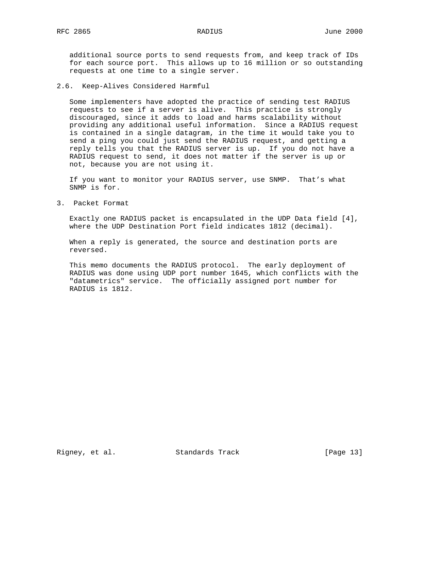additional source ports to send requests from, and keep track of IDs for each source port. This allows up to 16 million or so outstanding requests at one time to a single server.

2.6. Keep-Alives Considered Harmful

 Some implementers have adopted the practice of sending test RADIUS requests to see if a server is alive. This practice is strongly discouraged, since it adds to load and harms scalability without providing any additional useful information. Since a RADIUS request is contained in a single datagram, in the time it would take you to send a ping you could just send the RADIUS request, and getting a reply tells you that the RADIUS server is up. If you do not have a RADIUS request to send, it does not matter if the server is up or not, because you are not using it.

 If you want to monitor your RADIUS server, use SNMP. That's what SNMP is for.

3. Packet Format

 Exactly one RADIUS packet is encapsulated in the UDP Data field [4], where the UDP Destination Port field indicates 1812 (decimal).

 When a reply is generated, the source and destination ports are reversed.

 This memo documents the RADIUS protocol. The early deployment of RADIUS was done using UDP port number 1645, which conflicts with the "datametrics" service. The officially assigned port number for RADIUS is 1812.

Rigney, et al. Standards Track [Page 13]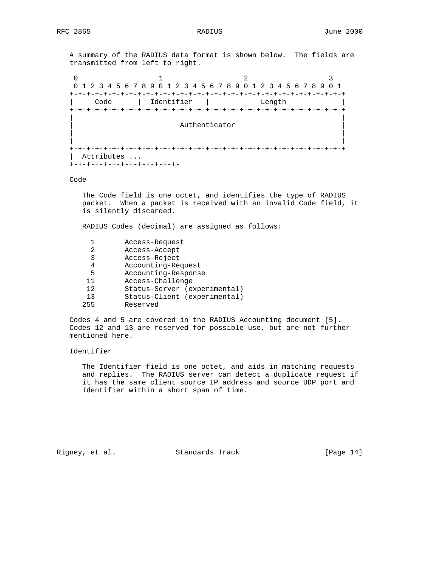A summary of the RADIUS data format is shown below. The fields are transmitted from left to right.

0  $1$  2 3 0 1 2 3 4 5 6 7 8 9 0 1 2 3 4 5 6 7 8 9 0 1 2 3 4 5 6 7 8 9 0 1 +-+-+-+-+-+-+-+-+-+-+-+-+-+-+-+-+-+-+-+-+-+-+-+-+-+-+-+-+-+-+-+-+ | Code | Identifier | Length | +-+-+-+-+-+-+-+-+-+-+-+-+-+-+-+-+-+-+-+-+-+-+-+-+-+-+-+-+-+-+-+-+ | | Authenticator | | | | +-+-+-+-+-+-+-+-+-+-+-+-+-+-+-+-+-+-+-+-+-+-+-+-+-+-+-+-+-+-+-+-+ | Attributes ... +-+-+-+-+-+-+-+-+-+-+-+-+-

### Code

 The Code field is one octet, and identifies the type of RADIUS packet. When a packet is received with an invalid Code field, it is silently discarded.

RADIUS Codes (decimal) are assigned as follows:

|     | Access-Request               |
|-----|------------------------------|
| 2.  | Access-Accept                |
|     | Access-Reject                |
|     | Accounting-Request           |
| 5   | Accounting-Response          |
| 11  | Access-Challenge             |
| 12. | Status-Server (experimental) |
| 13  | Status-Client (experimental) |
| 255 | Reserved                     |

 Codes 4 and 5 are covered in the RADIUS Accounting document [5]. Codes 12 and 13 are reserved for possible use, but are not further mentioned here.

### Identifier

 The Identifier field is one octet, and aids in matching requests and replies. The RADIUS server can detect a duplicate request if it has the same client source IP address and source UDP port and Identifier within a short span of time.

Rigney, et al. Standards Track [Page 14]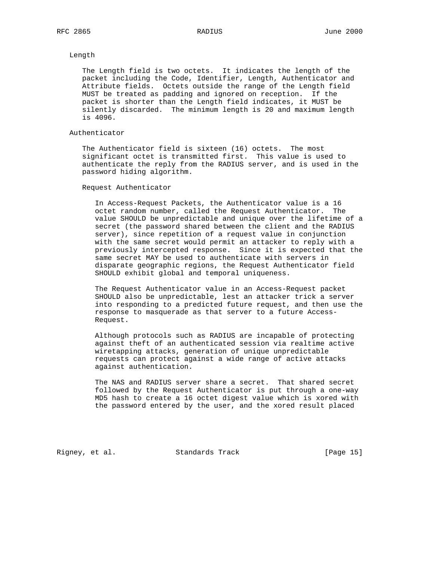## Length

 The Length field is two octets. It indicates the length of the packet including the Code, Identifier, Length, Authenticator and Attribute fields. Octets outside the range of the Length field MUST be treated as padding and ignored on reception. If the packet is shorter than the Length field indicates, it MUST be silently discarded. The minimum length is 20 and maximum length is 4096.

# Authenticator

 The Authenticator field is sixteen (16) octets. The most significant octet is transmitted first. This value is used to authenticate the reply from the RADIUS server, and is used in the password hiding algorithm.

Request Authenticator

 In Access-Request Packets, the Authenticator value is a 16 octet random number, called the Request Authenticator. The value SHOULD be unpredictable and unique over the lifetime of a secret (the password shared between the client and the RADIUS server), since repetition of a request value in conjunction with the same secret would permit an attacker to reply with a previously intercepted response. Since it is expected that the same secret MAY be used to authenticate with servers in disparate geographic regions, the Request Authenticator field SHOULD exhibit global and temporal uniqueness.

 The Request Authenticator value in an Access-Request packet SHOULD also be unpredictable, lest an attacker trick a server into responding to a predicted future request, and then use the response to masquerade as that server to a future Access- Request.

 Although protocols such as RADIUS are incapable of protecting against theft of an authenticated session via realtime active wiretapping attacks, generation of unique unpredictable requests can protect against a wide range of active attacks against authentication.

 The NAS and RADIUS server share a secret. That shared secret followed by the Request Authenticator is put through a one-way MD5 hash to create a 16 octet digest value which is xored with the password entered by the user, and the xored result placed

Rigney, et al. Standards Track [Page 15]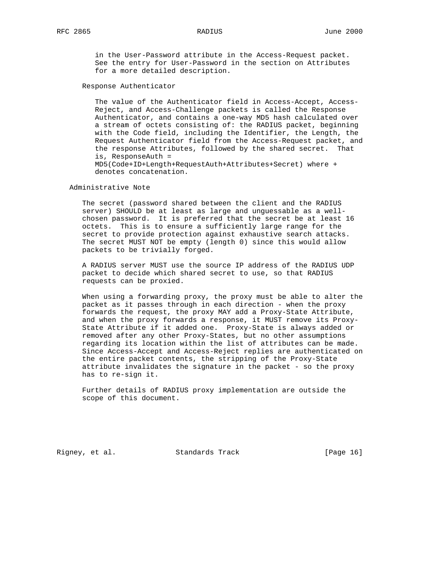in the User-Password attribute in the Access-Request packet. See the entry for User-Password in the section on Attributes for a more detailed description.

## Response Authenticator

 The value of the Authenticator field in Access-Accept, Access- Reject, and Access-Challenge packets is called the Response Authenticator, and contains a one-way MD5 hash calculated over a stream of octets consisting of: the RADIUS packet, beginning with the Code field, including the Identifier, the Length, the Request Authenticator field from the Access-Request packet, and the response Attributes, followed by the shared secret. That is, ResponseAuth = MD5(Code+ID+Length+RequestAuth+Attributes+Secret) where + denotes concatenation.

Administrative Note

 The secret (password shared between the client and the RADIUS server) SHOULD be at least as large and unguessable as a well chosen password. It is preferred that the secret be at least 16 octets. This is to ensure a sufficiently large range for the secret to provide protection against exhaustive search attacks. The secret MUST NOT be empty (length 0) since this would allow packets to be trivially forged.

 A RADIUS server MUST use the source IP address of the RADIUS UDP packet to decide which shared secret to use, so that RADIUS requests can be proxied.

 When using a forwarding proxy, the proxy must be able to alter the packet as it passes through in each direction - when the proxy forwards the request, the proxy MAY add a Proxy-State Attribute, and when the proxy forwards a response, it MUST remove its Proxy- State Attribute if it added one. Proxy-State is always added or removed after any other Proxy-States, but no other assumptions regarding its location within the list of attributes can be made. Since Access-Accept and Access-Reject replies are authenticated on the entire packet contents, the stripping of the Proxy-State attribute invalidates the signature in the packet - so the proxy has to re-sign it.

 Further details of RADIUS proxy implementation are outside the scope of this document.

Rigney, et al. Standards Track [Page 16]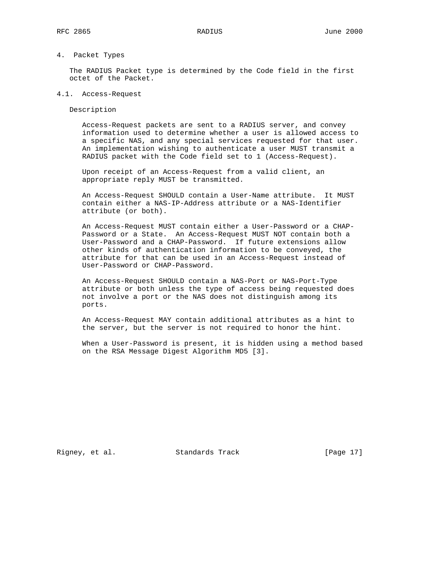# 4. Packet Types

 The RADIUS Packet type is determined by the Code field in the first octet of the Packet.

### 4.1. Access-Request

Description

 Access-Request packets are sent to a RADIUS server, and convey information used to determine whether a user is allowed access to a specific NAS, and any special services requested for that user. An implementation wishing to authenticate a user MUST transmit a RADIUS packet with the Code field set to 1 (Access-Request).

 Upon receipt of an Access-Request from a valid client, an appropriate reply MUST be transmitted.

 An Access-Request SHOULD contain a User-Name attribute. It MUST contain either a NAS-IP-Address attribute or a NAS-Identifier attribute (or both).

 An Access-Request MUST contain either a User-Password or a CHAP- Password or a State. An Access-Request MUST NOT contain both a User-Password and a CHAP-Password. If future extensions allow other kinds of authentication information to be conveyed, the attribute for that can be used in an Access-Request instead of User-Password or CHAP-Password.

 An Access-Request SHOULD contain a NAS-Port or NAS-Port-Type attribute or both unless the type of access being requested does not involve a port or the NAS does not distinguish among its ports.

 An Access-Request MAY contain additional attributes as a hint to the server, but the server is not required to honor the hint.

 When a User-Password is present, it is hidden using a method based on the RSA Message Digest Algorithm MD5 [3].

Rigney, et al. Standards Track [Page 17]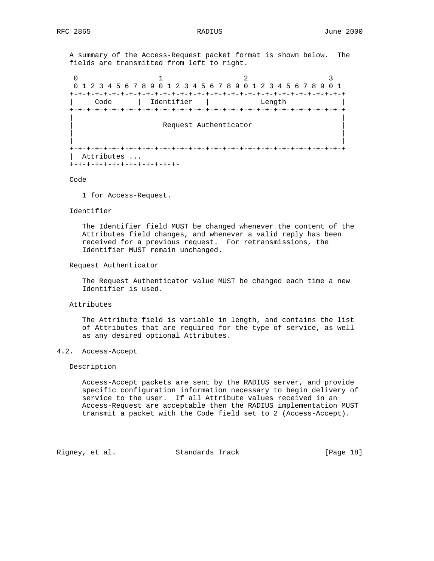A summary of the Access-Request packet format is shown below. The fields are transmitted from left to right.

0  $1$  2 3 0 1 2 3 4 5 6 7 8 9 0 1 2 3 4 5 6 7 8 9 0 1 2 3 4 5 6 7 8 9 0 1 +-+-+-+-+-+-+-+-+-+-+-+-+-+-+-+-+-+-+-+-+-+-+-+-+-+-+-+-+-+-+-+-+ | Code | Identifier | Length | +-+-+-+-+-+-+-+-+-+-+-+-+-+-+-+-+-+-+-+-+-+-+-+-+-+-+-+-+-+-+-+-+ | | Request Authenticator | | | | +-+-+-+-+-+-+-+-+-+-+-+-+-+-+-+-+-+-+-+-+-+-+-+-+-+-+-+-+-+-+-+-+ | Attributes ... +-+-+-+-+-+-+-+-+-+-+-+-+-

Code

1 for Access-Request.

#### Identifier

 The Identifier field MUST be changed whenever the content of the Attributes field changes, and whenever a valid reply has been received for a previous request. For retransmissions, the Identifier MUST remain unchanged.

### Request Authenticator

 The Request Authenticator value MUST be changed each time a new Identifier is used.

#### Attributes

 The Attribute field is variable in length, and contains the list of Attributes that are required for the type of service, as well as any desired optional Attributes.

## 4.2. Access-Accept

# Description

 Access-Accept packets are sent by the RADIUS server, and provide specific configuration information necessary to begin delivery of service to the user. If all Attribute values received in an Access-Request are acceptable then the RADIUS implementation MUST transmit a packet with the Code field set to 2 (Access-Accept).

Rigney, et al. Standards Track [Page 18]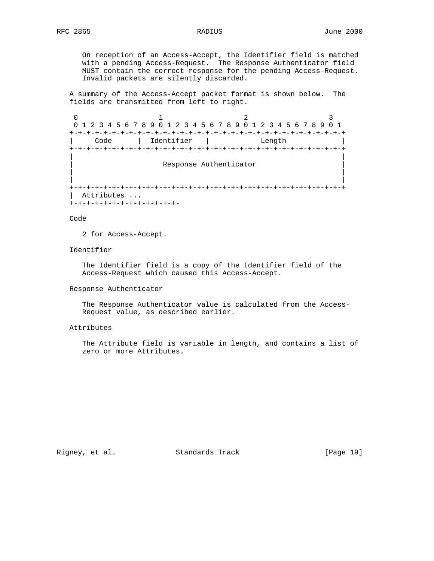On reception of an Access-Accept, the Identifier field is matched with a pending Access-Request. The Response Authenticator field MUST contain the correct response for the pending Access-Request. Invalid packets are silently discarded.

 A summary of the Access-Accept packet format is shown below. The fields are transmitted from left to right.

0  $1$  2 3 0 1 2 3 4 5 6 7 8 9 0 1 2 3 4 5 6 7 8 9 0 1 2 3 4 5 6 7 8 9 0 1 +-+-+-+-+-+-+-+-+-+-+-+-+-+-+-+-+-+-+-+-+-+-+-+-+-+-+-+-+-+-+-+-+ | Code | Identifier | Length | +-+-+-+-+-+-+-+-+-+-+-+-+-+-+-+-+-+-+-+-+-+-+-+-+-+-+-+-+-+-+-+-+ | | Response Authenticator | | | | +-+-+-+-+-+-+-+-+-+-+-+-+-+-+-+-+-+-+-+-+-+-+-+-+-+-+-+-+-+-+-+-+ | Attributes ... +-+-+-+-+-+-+-+-+-+-+-+-+-

Code

2 for Access-Accept.

Identifier

 The Identifier field is a copy of the Identifier field of the Access-Request which caused this Access-Accept.

### Response Authenticator

 The Response Authenticator value is calculated from the Access- Request value, as described earlier.

Attributes

 The Attribute field is variable in length, and contains a list of zero or more Attributes.

Rigney, et al. Standards Track [Page 19]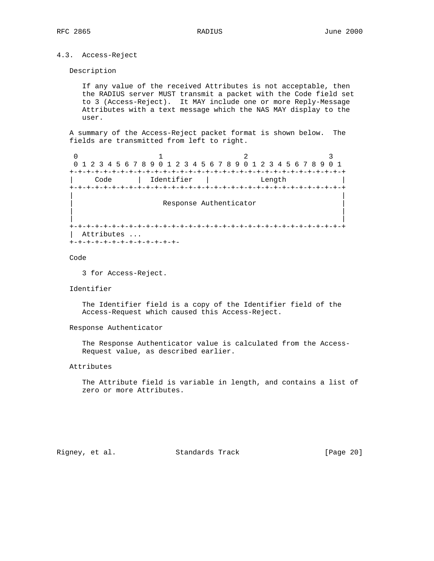# 4.3. Access-Reject

Description

 If any value of the received Attributes is not acceptable, then the RADIUS server MUST transmit a packet with the Code field set to 3 (Access-Reject). It MAY include one or more Reply-Message Attributes with a text message which the NAS MAY display to the user.

 A summary of the Access-Reject packet format is shown below. The fields are transmitted from left to right.

0  $1$  2 3 0 1 2 3 4 5 6 7 8 9 0 1 2 3 4 5 6 7 8 9 0 1 2 3 4 5 6 7 8 9 0 1 +-+-+-+-+-+-+-+-+-+-+-+-+-+-+-+-+-+-+-+-+-+-+-+-+-+-+-+-+-+-+-+-+ | Code | Identifier | Length | +-+-+-+-+-+-+-+-+-+-+-+-+-+-+-+-+-+-+-+-+-+-+-+-+-+-+-+-+-+-+-+-+ | | Response Authenticator | | | | +-+-+-+-+-+-+-+-+-+-+-+-+-+-+-+-+-+-+-+-+-+-+-+-+-+-+-+-+-+-+-+-+ | Attributes ... +-+-+-+-+-+-+-+-+-+-+-+-+-

Code

3 for Access-Reject.

### Identifier

 The Identifier field is a copy of the Identifier field of the Access-Request which caused this Access-Reject.

### Response Authenticator

 The Response Authenticator value is calculated from the Access- Request value, as described earlier.

## Attributes

 The Attribute field is variable in length, and contains a list of zero or more Attributes.

Rigney, et al. Standards Track [Page 20]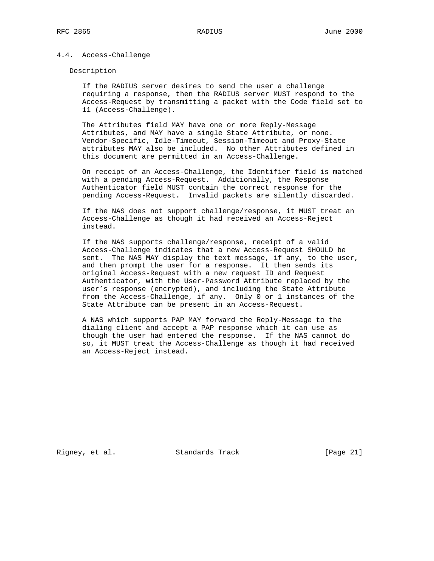## 4.4. Access-Challenge

#### Description

 If the RADIUS server desires to send the user a challenge requiring a response, then the RADIUS server MUST respond to the Access-Request by transmitting a packet with the Code field set to 11 (Access-Challenge).

 The Attributes field MAY have one or more Reply-Message Attributes, and MAY have a single State Attribute, or none. Vendor-Specific, Idle-Timeout, Session-Timeout and Proxy-State attributes MAY also be included. No other Attributes defined in this document are permitted in an Access-Challenge.

 On receipt of an Access-Challenge, the Identifier field is matched with a pending Access-Request. Additionally, the Response Authenticator field MUST contain the correct response for the pending Access-Request. Invalid packets are silently discarded.

 If the NAS does not support challenge/response, it MUST treat an Access-Challenge as though it had received an Access-Reject instead.

 If the NAS supports challenge/response, receipt of a valid Access-Challenge indicates that a new Access-Request SHOULD be sent. The NAS MAY display the text message, if any, to the user, and then prompt the user for a response. It then sends its original Access-Request with a new request ID and Request Authenticator, with the User-Password Attribute replaced by the user's response (encrypted), and including the State Attribute from the Access-Challenge, if any. Only 0 or 1 instances of the State Attribute can be present in an Access-Request.

 A NAS which supports PAP MAY forward the Reply-Message to the dialing client and accept a PAP response which it can use as though the user had entered the response. If the NAS cannot do so, it MUST treat the Access-Challenge as though it had received an Access-Reject instead.

Rigney, et al. Standards Track [Page 21]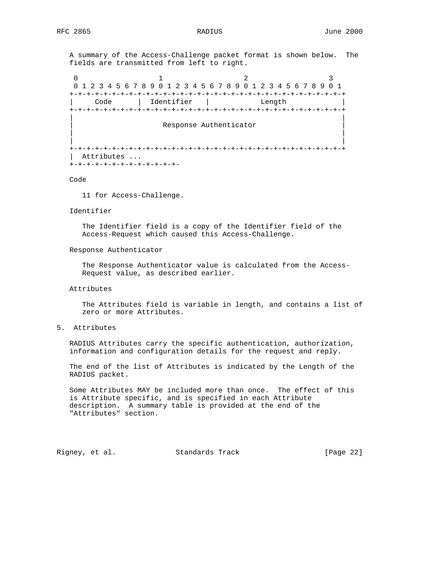A summary of the Access-Challenge packet format is shown below. The fields are transmitted from left to right.

0  $1$  2 3 0 1 2 3 4 5 6 7 8 9 0 1 2 3 4 5 6 7 8 9 0 1 2 3 4 5 6 7 8 9 0 1 +-+-+-+-+-+-+-+-+-+-+-+-+-+-+-+-+-+-+-+-+-+-+-+-+-+-+-+-+-+-+-+-+ | Code | Identifier | Length | +-+-+-+-+-+-+-+-+-+-+-+-+-+-+-+-+-+-+-+-+-+-+-+-+-+-+-+-+-+-+-+-+ | | Response Authenticator | | | | +-+-+-+-+-+-+-+-+-+-+-+-+-+-+-+-+-+-+-+-+-+-+-+-+-+-+-+-+-+-+-+-+ | Attributes ... +-+-+-+-+-+-+-+-+-+-+-+-+-

Code

11 for Access-Challenge.

#### Identifier

 The Identifier field is a copy of the Identifier field of the Access-Request which caused this Access-Challenge.

#### Response Authenticator

 The Response Authenticator value is calculated from the Access- Request value, as described earlier.

### Attributes

 The Attributes field is variable in length, and contains a list of zero or more Attributes.

### 5. Attributes

 RADIUS Attributes carry the specific authentication, authorization, information and configuration details for the request and reply.

 The end of the list of Attributes is indicated by the Length of the RADIUS packet.

 Some Attributes MAY be included more than once. The effect of this is Attribute specific, and is specified in each Attribute description. A summary table is provided at the end of the "Attributes" section.

Rigney, et al. Standards Track [Page 22]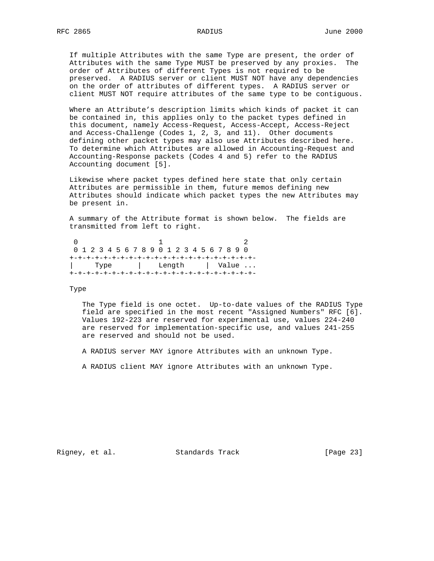If multiple Attributes with the same Type are present, the order of Attributes with the same Type MUST be preserved by any proxies. The order of Attributes of different Types is not required to be preserved. A RADIUS server or client MUST NOT have any dependencies on the order of attributes of different types. A RADIUS server or client MUST NOT require attributes of the same type to be contiguous.

 Where an Attribute's description limits which kinds of packet it can be contained in, this applies only to the packet types defined in this document, namely Access-Request, Access-Accept, Access-Reject and Access-Challenge (Codes 1, 2, 3, and 11). Other documents defining other packet types may also use Attributes described here. To determine which Attributes are allowed in Accounting-Request and Accounting-Response packets (Codes 4 and 5) refer to the RADIUS Accounting document [5].

 Likewise where packet types defined here state that only certain Attributes are permissible in them, future memos defining new Attributes should indicate which packet types the new Attributes may be present in.

 A summary of the Attribute format is shown below. The fields are transmitted from left to right.

|                       |  |  |  |  | 0 1 2 3 4 5 6 7 8 9 0 1 2 3 4 5 6 7 8 9 0 |  |  |  |  |  |  |  |  |  |  |  |  |  |  |  |
|-----------------------|--|--|--|--|-------------------------------------------|--|--|--|--|--|--|--|--|--|--|--|--|--|--|--|
|                       |  |  |  |  |                                           |  |  |  |  |  |  |  |  |  |  |  |  |  |  |  |
| Type   Length   Value |  |  |  |  |                                           |  |  |  |  |  |  |  |  |  |  |  |  |  |  |  |
|                       |  |  |  |  |                                           |  |  |  |  |  |  |  |  |  |  |  |  |  |  |  |

Type

 The Type field is one octet. Up-to-date values of the RADIUS Type field are specified in the most recent "Assigned Numbers" RFC [6]. Values 192-223 are reserved for experimental use, values 224-240 are reserved for implementation-specific use, and values 241-255 are reserved and should not be used.

A RADIUS server MAY ignore Attributes with an unknown Type.

A RADIUS client MAY ignore Attributes with an unknown Type.

Rigney, et al. Standards Track [Page 23]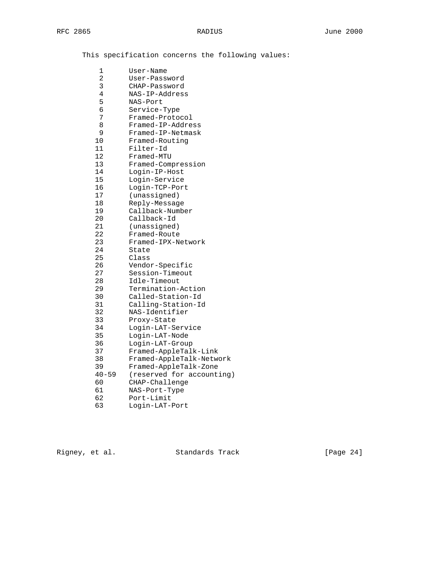This specification concerns the following values:

| 1         | User-Name                 |
|-----------|---------------------------|
| 2         | User-Password             |
| 3         | CHAP-Password             |
| 4         | NAS-IP-Address            |
| 5         | NAS-Port                  |
| 6         | Service-Type              |
| 7         | Framed-Protocol           |
| 8         | Framed-IP-Address         |
| 9         | Framed-IP-Netmask         |
| 10        | Framed-Routing            |
| 11        | Filter-Id                 |
| 12        | Framed-MTU                |
| 13        | Framed-Compression        |
| 14        | Login-IP-Host             |
| 15        | Login-Service             |
| 16        | Login-TCP-Port            |
| 17        | (unassigned)              |
| 18        | Reply-Message             |
| 19        | Callback-Number           |
| 20        | Callback-Id               |
| 21        | (unassigned)              |
| 22        | Framed-Route              |
| 23        | Framed-IPX-Network        |
| 24        | State                     |
| 25        | Class                     |
| 26        | Vendor-Specific           |
| 27        | Session-Timeout           |
| 28        | Idle-Timeout              |
| 29        | Termination-Action        |
| 30        | Called-Station-Id         |
| 31        | Calling-Station-Id        |
| 32        | NAS-Identifier            |
| 33        | Proxy-State               |
| 34        | Login-LAT-Service         |
| 35        | Login-LAT-Node            |
| 36        | Login-LAT-Group           |
| 37        | Framed-AppleTalk-Link     |
| 38        | Framed-AppleTalk-Network  |
| 39        | Framed-AppleTalk-Zone     |
| $40 - 59$ | (reserved for accounting) |
| 60        | CHAP-Challenge            |
| 61        | NAS-Port-Type             |
| 62        | Port-Limit                |
| 63        | Login-LAT-Port            |

Rigney, et al. Standards Track [Page 24]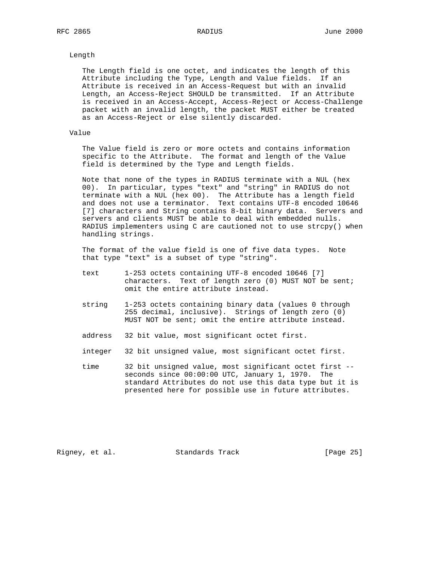#### Length

 The Length field is one octet, and indicates the length of this Attribute including the Type, Length and Value fields. If an Attribute is received in an Access-Request but with an invalid Length, an Access-Reject SHOULD be transmitted. If an Attribute is received in an Access-Accept, Access-Reject or Access-Challenge packet with an invalid length, the packet MUST either be treated as an Access-Reject or else silently discarded.

## Value

 The Value field is zero or more octets and contains information specific to the Attribute. The format and length of the Value field is determined by the Type and Length fields.

 Note that none of the types in RADIUS terminate with a NUL (hex 00). In particular, types "text" and "string" in RADIUS do not terminate with a NUL (hex 00). The Attribute has a length field and does not use a terminator. Text contains UTF-8 encoded 10646 [7] characters and String contains 8-bit binary data. Servers and servers and clients MUST be able to deal with embedded nulls. RADIUS implementers using C are cautioned not to use strcpy() when handling strings.

 The format of the value field is one of five data types. Note that type "text" is a subset of type "string".

- text 1-253 octets containing UTF-8 encoded 10646 [7] characters. Text of length zero (0) MUST NOT be sent; omit the entire attribute instead.
- string 1-253 octets containing binary data (values 0 through 255 decimal, inclusive). Strings of length zero (0) MUST NOT be sent; omit the entire attribute instead.
- address 32 bit value, most significant octet first.
- integer 32 bit unsigned value, most significant octet first.
- time 32 bit unsigned value, most significant octet first seconds since 00:00:00 UTC, January 1, 1970. The standard Attributes do not use this data type but it is presented here for possible use in future attributes.

Rigney, et al. Standards Track [Page 25]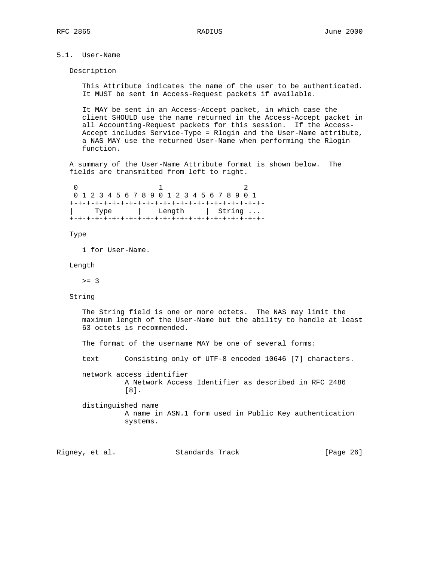# 5.1. User-Name

Description

 This Attribute indicates the name of the user to be authenticated. It MUST be sent in Access-Request packets if available.

 It MAY be sent in an Access-Accept packet, in which case the client SHOULD use the name returned in the Access-Accept packet in all Accounting-Request packets for this session. If the Access- Accept includes Service-Type = Rlogin and the User-Name attribute, a NAS MAY use the returned User-Name when performing the Rlogin function.

 A summary of the User-Name Attribute format is shown below. The fields are transmitted from left to right.

|  |  |  |  |  |  |  |  |                        |  |  |  |  |  |  |  |  |  |  | 0 1 2 3 4 5 6 7 8 9 0 1 2 3 4 5 6 7 8 9 0 1 |  |  |  |
|--|--|--|--|--|--|--|--|------------------------|--|--|--|--|--|--|--|--|--|--|---------------------------------------------|--|--|--|
|  |  |  |  |  |  |  |  |                        |  |  |  |  |  |  |  |  |  |  |                                             |  |  |  |
|  |  |  |  |  |  |  |  | Type   Length   String |  |  |  |  |  |  |  |  |  |  |                                             |  |  |  |
|  |  |  |  |  |  |  |  |                        |  |  |  |  |  |  |  |  |  |  |                                             |  |  |  |

# Type

1 for User-Name.

#### Length

 $>= 3$ 

#### String

 The String field is one or more octets. The NAS may limit the maximum length of the User-Name but the ability to handle at least 63 octets is recommended.

The format of the username MAY be one of several forms:

text Consisting only of UTF-8 encoded 10646 [7] characters.

 network access identifier A Network Access Identifier as described in RFC 2486 [8].

 distinguished name A name in ASN.1 form used in Public Key authentication systems.

Rigney, et al. Standards Track [Page 26]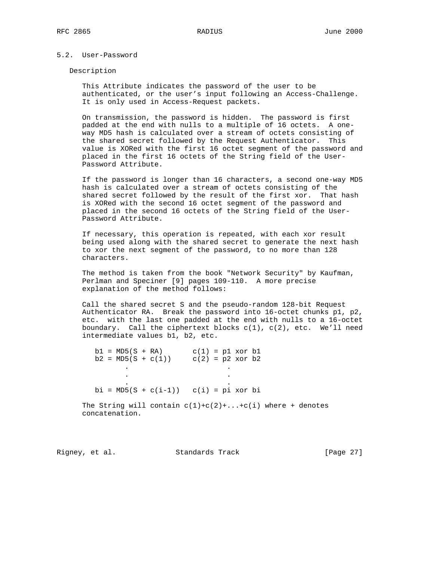# 5.2. User-Password

Description

 This Attribute indicates the password of the user to be authenticated, or the user's input following an Access-Challenge. It is only used in Access-Request packets.

 On transmission, the password is hidden. The password is first padded at the end with nulls to a multiple of 16 octets. A one way MD5 hash is calculated over a stream of octets consisting of the shared secret followed by the Request Authenticator. This value is XORed with the first 16 octet segment of the password and placed in the first 16 octets of the String field of the User- Password Attribute.

 If the password is longer than 16 characters, a second one-way MD5 hash is calculated over a stream of octets consisting of the shared secret followed by the result of the first xor. That hash is XORed with the second 16 octet segment of the password and placed in the second 16 octets of the String field of the User- Password Attribute.

 If necessary, this operation is repeated, with each xor result being used along with the shared secret to generate the next hash to xor the next segment of the password, to no more than 128 characters.

 The method is taken from the book "Network Security" by Kaufman, Perlman and Speciner [9] pages 109-110. A more precise explanation of the method follows:

 Call the shared secret S and the pseudo-random 128-bit Request Authenticator RA. Break the password into 16-octet chunks p1, p2, etc. with the last one padded at the end with nulls to a 16-octet boundary. Call the ciphertext blocks  $c(1)$ ,  $c(2)$ , etc. We'll need intermediate values b1, b2, etc.

 $b1 = MD5(S + RA)$  c(1) = p1 xor b1  $b2 = MD5(S + c(1))$   $c(2) = p2 x$ or  $b2$  . . . . . .  $bi = MD5(S + c(i-1))$  c(i) = pi xor bi

> The String will contain  $c(1)+c(2)+...+c(i)$  where + denotes concatenation.

Rigney, et al. Standards Track [Page 27]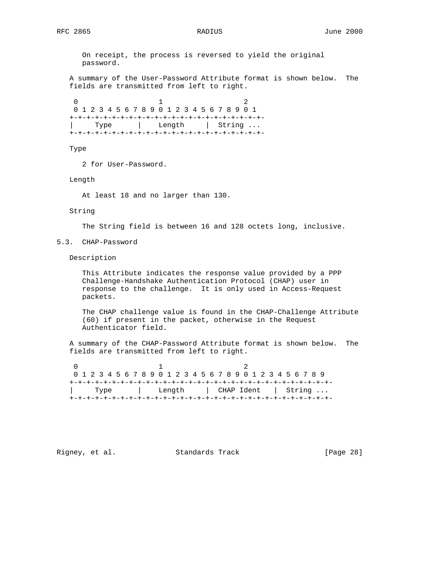On receipt, the process is reversed to yield the original password.

 A summary of the User-Password Attribute format is shown below. The fields are transmitted from left to right.

 $0$  1 2 0 1 2 3 4 5 6 7 8 9 0 1 2 3 4 5 6 7 8 9 0 1 +-+-+-+-+-+-+-+-+-+-+-+-+-+-+-+-+-+-+-+-+-+-+- | Type | Length | String ... +-+-+-+-+-+-+-+-+-+-+-+-+-+-+-+-+-+-+-+-+-+-+-

### Type

2 for User-Password.

### Length

At least 18 and no larger than 130.

#### String

The String field is between 16 and 128 octets long, inclusive.

5.3. CHAP-Password

Description

 This Attribute indicates the response value provided by a PPP Challenge-Handshake Authentication Protocol (CHAP) user in response to the challenge. It is only used in Access-Request packets.

 The CHAP challenge value is found in the CHAP-Challenge Attribute (60) if present in the packet, otherwise in the Request Authenticator field.

 A summary of the CHAP-Password Attribute format is shown below. The fields are transmitted from left to right.

 $0$  1 2 0 1 2 3 4 5 6 7 8 9 0 1 2 3 4 5 6 7 8 9 0 1 2 3 4 5 6 7 8 9 +-+-+-+-+-+-+-+-+-+-+-+-+-+-+-+-+-+-+-+-+-+-+-+-+-+-+-+-+-+-+- | Type | Length | CHAP Ident | String ... +-+-+-+-+-+-+-+-+-+-+-+-+-+-+-+-+-+-+-+-+-+-+-+-+-+-+-+-+-+-+-

Rigney, et al. Standards Track [Page 28]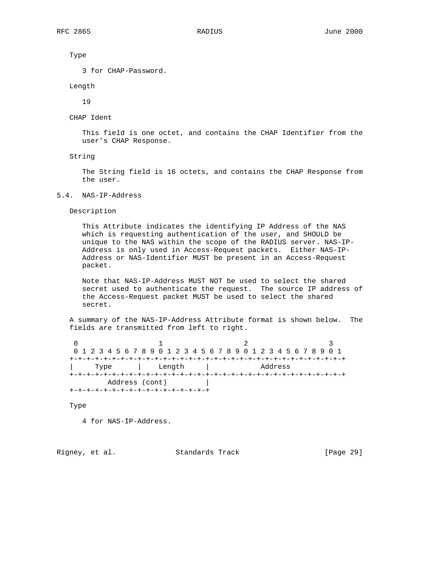Type

3 for CHAP-Password.

Length

19

CHAP Ident

 This field is one octet, and contains the CHAP Identifier from the user's CHAP Response.

String

 The String field is 16 octets, and contains the CHAP Response from the user.

# 5.4. NAS-IP-Address

Description

 This Attribute indicates the identifying IP Address of the NAS which is requesting authentication of the user, and SHOULD be unique to the NAS within the scope of the RADIUS server. NAS-IP- Address is only used in Access-Request packets. Either NAS-IP- Address or NAS-Identifier MUST be present in an Access-Request packet.

 Note that NAS-IP-Address MUST NOT be used to select the shared secret used to authenticate the request. The source IP address of the Access-Request packet MUST be used to select the shared secret.

 A summary of the NAS-IP-Address Attribute format is shown below. The fields are transmitted from left to right.

0  $1$  2 3 0 1 2 3 4 5 6 7 8 9 0 1 2 3 4 5 6 7 8 9 0 1 2 3 4 5 6 7 8 9 0 1 +-+-+-+-+-+-+-+-+-+-+-+-+-+-+-+-+-+-+-+-+-+-+-+-+-+-+-+-+-+-+-+-+ | Type | Length | Address +-+-+-+-+-+-+-+-+-+-+-+-+-+-+-+-+-+-+-+-+-+-+-+-+-+-+-+-+-+-+-+-+ Address (cont) | +-+-+-+-+-+-+-+-+-+-+-+-+-+-+-+-+

Type

4 for NAS-IP-Address.

Rigney, et al. Standards Track [Page 29]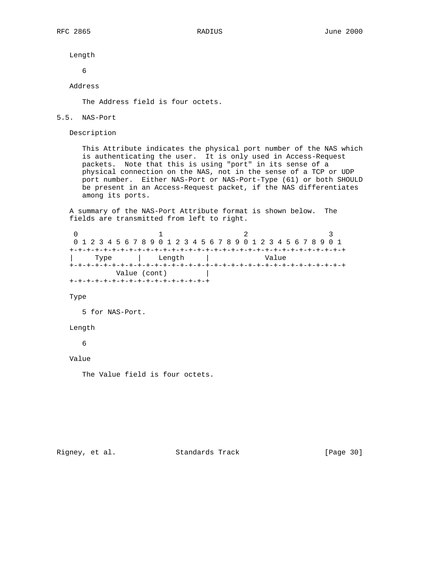Length

6

Address

The Address field is four octets.

5.5. NAS-Port

Description

 This Attribute indicates the physical port number of the NAS which is authenticating the user. It is only used in Access-Request packets. Note that this is using "port" in its sense of a physical connection on the NAS, not in the sense of a TCP or UDP port number. Either NAS-Port or NAS-Port-Type (61) or both SHOULD be present in an Access-Request packet, if the NAS differentiates among its ports.

 A summary of the NAS-Port Attribute format is shown below. The fields are transmitted from left to right.

0  $1$  2 3 0 1 2 3 4 5 6 7 8 9 0 1 2 3 4 5 6 7 8 9 0 1 2 3 4 5 6 7 8 9 0 1 +-+-+-+-+-+-+-+-+-+-+-+-+-+-+-+-+-+-+-+-+-+-+-+-+-+-+-+-+-+-+-+-+ | Type | Length | Value +-+-+-+-+-+-+-+-+-+-+-+-+-+-+-+-+-+-+-+-+-+-+-+-+-+-+-+-+-+-+-+-+ Value (cont) | +-+-+-+-+-+-+-+-+-+-+-+-+-+-+-+-+

Type

5 for NAS-Port.

# Length

6

Value

The Value field is four octets.

Rigney, et al. Standards Track [Page 30]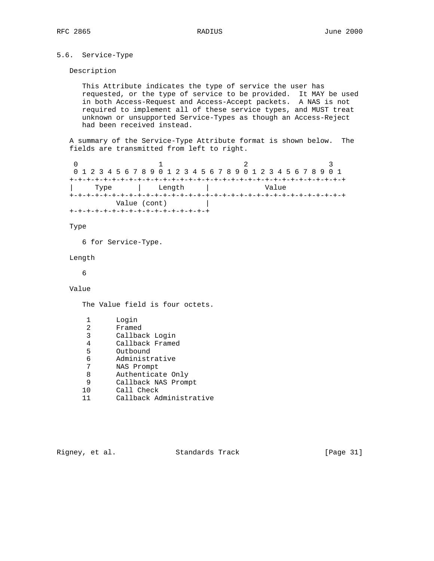# 5.6. Service-Type

Description

 This Attribute indicates the type of service the user has requested, or the type of service to be provided. It MAY be used in both Access-Request and Access-Accept packets. A NAS is not required to implement all of these service types, and MUST treat unknown or unsupported Service-Types as though an Access-Reject had been received instead.

 A summary of the Service-Type Attribute format is shown below. The fields are transmitted from left to right.

0  $1$  2 3 0 1 2 3 4 5 6 7 8 9 0 1 2 3 4 5 6 7 8 9 0 1 2 3 4 5 6 7 8 9 0 1 +-+-+-+-+-+-+-+-+-+-+-+-+-+-+-+-+-+-+-+-+-+-+-+-+-+-+-+-+-+-+-+-+ | Type | Length | Value +-+-+-+-+-+-+-+-+-+-+-+-+-+-+-+-+-+-+-+-+-+-+-+-+-+-+-+-+-+-+-+-+ Value (cont) | +-+-+-+-+-+-+-+-+-+-+-+-+-+-+-+-+

Type

6 for Service-Type.

Length

6

Value

The Value field is four octets.

|    | Login                   |
|----|-------------------------|
| 2  | Framed                  |
| 3  | Callback Login          |
| 4  | Callback Framed         |
| 5  | Outbound                |
| 6  | Administrative          |
| 7  | NAS Prompt              |
| 8  | Authenticate Only       |
| 9  | Callback NAS Prompt     |
| 10 | Call Check              |
| 11 | Callback Administrative |

Rigney, et al. Standards Track [Page 31]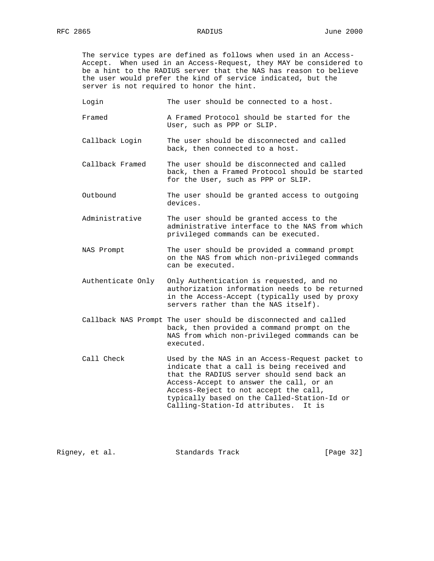The service types are defined as follows when used in an Access- Accept. When used in an Access-Request, they MAY be considered to be a hint to the RADIUS server that the NAS has reason to believe the user would prefer the kind of service indicated, but the server is not required to honor the hint.

Login The user should be connected to a host.

- Framed A Framed Protocol should be started for the User, such as PPP or SLIP.
- Callback Login The user should be disconnected and called back, then connected to a host.
- Callback Framed The user should be disconnected and called back, then a Framed Protocol should be started for the User, such as PPP or SLIP.
- Outbound The user should be granted access to outgoing devices.
- Administrative The user should be granted access to the administrative interface to the NAS from which privileged commands can be executed.
- NAS Prompt The user should be provided a command prompt on the NAS from which non-privileged commands can be executed.

 Authenticate Only Only Authentication is requested, and no authorization information needs to be returned in the Access-Accept (typically used by proxy servers rather than the NAS itself).

- Callback NAS Prompt The user should be disconnected and called back, then provided a command prompt on the NAS from which non-privileged commands can be executed.
- Call Check Used by the NAS in an Access-Request packet to indicate that a call is being received and that the RADIUS server should send back an Access-Accept to answer the call, or an Access-Reject to not accept the call, typically based on the Called-Station-Id or Calling-Station-Id attributes. It is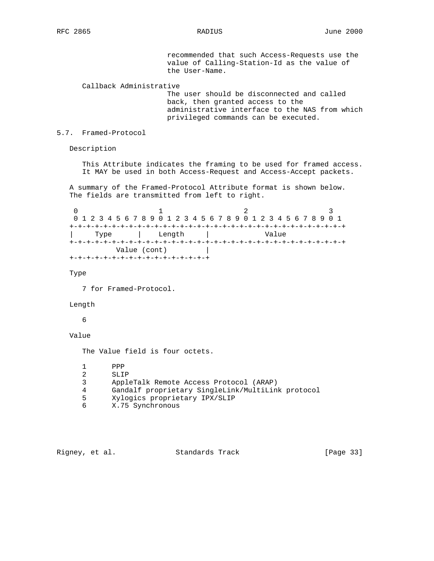recommended that such Access-Requests use the value of Calling-Station-Id as the value of the User-Name.

Callback Administrative

 The user should be disconnected and called back, then granted access to the administrative interface to the NAS from which privileged commands can be executed.

5.7. Framed-Protocol

Description

 This Attribute indicates the framing to be used for framed access. It MAY be used in both Access-Request and Access-Accept packets.

 A summary of the Framed-Protocol Attribute format is shown below. The fields are transmitted from left to right.

0  $1$  2 3 0 1 2 3 4 5 6 7 8 9 0 1 2 3 4 5 6 7 8 9 0 1 2 3 4 5 6 7 8 9 0 1 +-+-+-+-+-+-+-+-+-+-+-+-+-+-+-+-+-+-+-+-+-+-+-+-+-+-+-+-+-+-+-+-+ | Type | Length | Value +-+-+-+-+-+-+-+-+-+-+-+-+-+-+-+-+-+-+-+-+-+-+-+-+-+-+-+-+-+-+-+-+ Value (cont) | +-+-+-+-+-+-+-+-+-+-+-+-+-+-+-+-+

Type

7 for Framed-Protocol.

Length

6

Value

The Value field is four octets.

|               | <b>PPP</b>                                        |
|---------------|---------------------------------------------------|
|               | SLTP                                              |
| $\mathcal{R}$ | AppleTalk Remote Access Protocol (ARAP)           |
| 4             | Gandalf proprietary SingleLink/MultiLink protocol |
| 5.            | Xylogics proprietary IPX/SLIP                     |
| 6.            | X.75 Synchronous                                  |
|               |                                                   |

Rigney, et al. Standards Track [Page 33]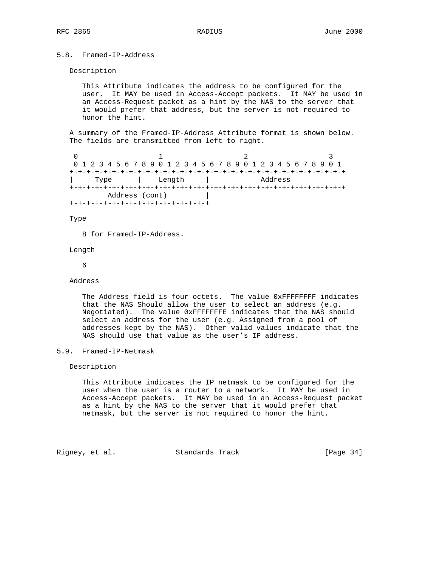# 5.8. Framed-IP-Address

Description

 This Attribute indicates the address to be configured for the user. It MAY be used in Access-Accept packets. It MAY be used in an Access-Request packet as a hint by the NAS to the server that it would prefer that address, but the server is not required to honor the hint.

 A summary of the Framed-IP-Address Attribute format is shown below. The fields are transmitted from left to right.

0  $1$  2 3 0 1 2 3 4 5 6 7 8 9 0 1 2 3 4 5 6 7 8 9 0 1 2 3 4 5 6 7 8 9 0 1 +-+-+-+-+-+-+-+-+-+-+-+-+-+-+-+-+-+-+-+-+-+-+-+-+-+-+-+-+-+-+-+-+ | Type | Length | Address +-+-+-+-+-+-+-+-+-+-+-+-+-+-+-+-+-+-+-+-+-+-+-+-+-+-+-+-+-+-+-+-+ Address (cont) | +-+-+-+-+-+-+-+-+-+-+-+-+-+-+-+-+

Type

8 for Framed-IP-Address.

Length

6

Address

 The Address field is four octets. The value 0xFFFFFFFF indicates that the NAS Should allow the user to select an address (e.g. Negotiated). The value 0xFFFFFFFE indicates that the NAS should select an address for the user (e.g. Assigned from a pool of addresses kept by the NAS). Other valid values indicate that the NAS should use that value as the user's IP address.

# 5.9. Framed-IP-Netmask

Description

 This Attribute indicates the IP netmask to be configured for the user when the user is a router to a network. It MAY be used in Access-Accept packets. It MAY be used in an Access-Request packet as a hint by the NAS to the server that it would prefer that netmask, but the server is not required to honor the hint.

Rigney, et al. Standards Track [Page 34]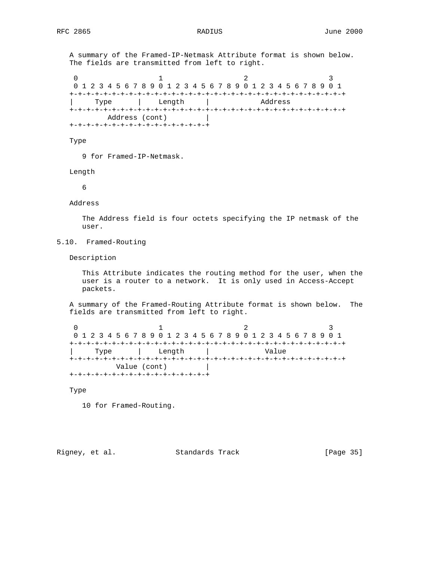A summary of the Framed-IP-Netmask Attribute format is shown below. The fields are transmitted from left to right.

0  $1$  2 3 0 1 2 3 4 5 6 7 8 9 0 1 2 3 4 5 6 7 8 9 0 1 2 3 4 5 6 7 8 9 0 1 +-+-+-+-+-+-+-+-+-+-+-+-+-+-+-+-+-+-+-+-+-+-+-+-+-+-+-+-+-+-+-+-+ | Type | Length | Address +-+-+-+-+-+-+-+-+-+-+-+-+-+-+-+-+-+-+-+-+-+-+-+-+-+-+-+-+-+-+-+-+ Address (cont) | +-+-+-+-+-+-+-+-+-+-+-+-+-+-+-+-+

Type

9 for Framed-IP-Netmask.

Length

6

Address

 The Address field is four octets specifying the IP netmask of the user.

5.10. Framed-Routing

Description

 This Attribute indicates the routing method for the user, when the user is a router to a network. It is only used in Access-Accept packets.

 A summary of the Framed-Routing Attribute format is shown below. The fields are transmitted from left to right.

0  $1$  2 3 0 1 2 3 4 5 6 7 8 9 0 1 2 3 4 5 6 7 8 9 0 1 2 3 4 5 6 7 8 9 0 1 +-+-+-+-+-+-+-+-+-+-+-+-+-+-+-+-+-+-+-+-+-+-+-+-+-+-+-+-+-+-+-+-+ | Type | Length | Value +-+-+-+-+-+-+-+-+-+-+-+-+-+-+-+-+-+-+-+-+-+-+-+-+-+-+-+-+-+-+-+-+ Value (cont) | +-+-+-+-+-+-+-+-+-+-+-+-+-+-+-+-+

Type

10 for Framed-Routing.

Rigney, et al. Standards Track [Page 35]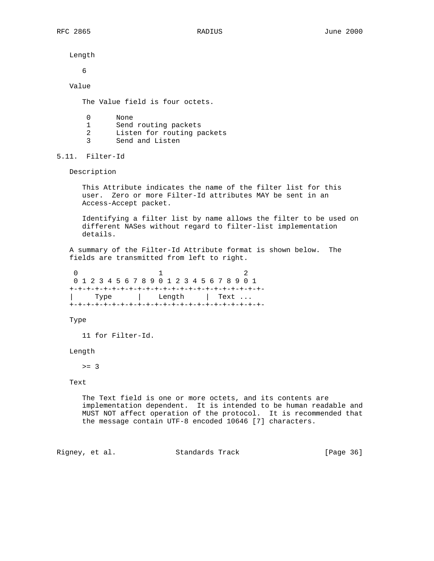Length

6

# Value

The Value field is four octets.

- 0 None
- 1 Send routing packets
- 2 Listen for routing packets
- 3 Send and Listen
- 5.11. Filter-Id

Description

 This Attribute indicates the name of the filter list for this user. Zero or more Filter-Id attributes MAY be sent in an Access-Accept packet.

 Identifying a filter list by name allows the filter to be used on different NASes without regard to filter-list implementation details.

 A summary of the Filter-Id Attribute format is shown below. The fields are transmitted from left to right.

| 0 1 2 3 4 5 6 7 8 9 0 1 2 3 4 5 6 7 8 9 0 1 |  |  |  |  |  |  |  |  |  |  |  |  |  |  |  |  |  |  |  |  |  |  |
|---------------------------------------------|--|--|--|--|--|--|--|--|--|--|--|--|--|--|--|--|--|--|--|--|--|--|
|                                             |  |  |  |  |  |  |  |  |  |  |  |  |  |  |  |  |  |  |  |  |  |  |
| Type   Length   Text                        |  |  |  |  |  |  |  |  |  |  |  |  |  |  |  |  |  |  |  |  |  |  |
|                                             |  |  |  |  |  |  |  |  |  |  |  |  |  |  |  |  |  |  |  |  |  |  |

# Type

11 for Filter-Id.

Length

 $>= 3$ 

# Text

 The Text field is one or more octets, and its contents are implementation dependent. It is intended to be human readable and MUST NOT affect operation of the protocol. It is recommended that the message contain UTF-8 encoded 10646 [7] characters.

Rigney, et al. Standards Track [Page 36]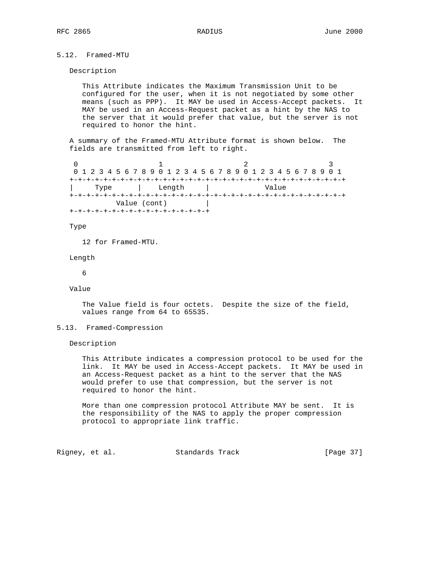# 5.12. Framed-MTU

Description

 This Attribute indicates the Maximum Transmission Unit to be configured for the user, when it is not negotiated by some other means (such as PPP). It MAY be used in Access-Accept packets. It MAY be used in an Access-Request packet as a hint by the NAS to the server that it would prefer that value, but the server is not required to honor the hint.

 A summary of the Framed-MTU Attribute format is shown below. The fields are transmitted from left to right.

0  $1$  2 3 0 1 2 3 4 5 6 7 8 9 0 1 2 3 4 5 6 7 8 9 0 1 2 3 4 5 6 7 8 9 0 1 +-+-+-+-+-+-+-+-+-+-+-+-+-+-+-+-+-+-+-+-+-+-+-+-+-+-+-+-+-+-+-+-+ | Type | Length | +-+-+-+-+-+-+-+-+-+-+-+-+-+-+-+-+-+-+-+-+-+-+-+-+-+-+-+-+-+-+-+-+ Value (cont) | +-+-+-+-+-+-+-+-+-+-+-+-+-+-+-+-+

Type

12 for Framed-MTU.

Length

6

Value

 The Value field is four octets. Despite the size of the field, values range from 64 to 65535.

5.13. Framed-Compression

Description

 This Attribute indicates a compression protocol to be used for the link. It MAY be used in Access-Accept packets. It MAY be used in an Access-Request packet as a hint to the server that the NAS would prefer to use that compression, but the server is not required to honor the hint.

 More than one compression protocol Attribute MAY be sent. It is the responsibility of the NAS to apply the proper compression protocol to appropriate link traffic.

Rigney, et al. Standards Track [Page 37]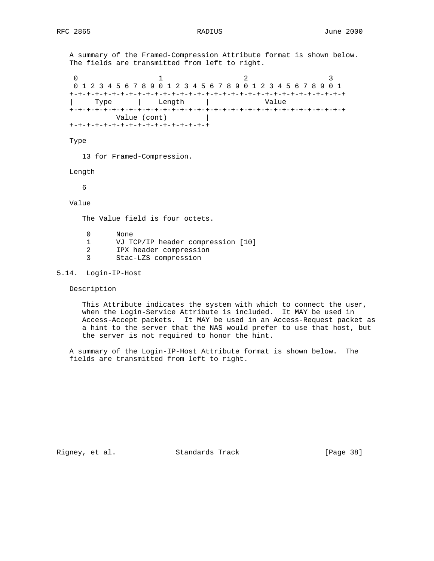A summary of the Framed-Compression Attribute format is shown below. The fields are transmitted from left to right.

0  $1$  2 3 0 1 2 3 4 5 6 7 8 9 0 1 2 3 4 5 6 7 8 9 0 1 2 3 4 5 6 7 8 9 0 1 +-+-+-+-+-+-+-+-+-+-+-+-+-+-+-+-+-+-+-+-+-+-+-+-+-+-+-+-+-+-+-+-+ | Type | Length | Value +-+-+-+-+-+-+-+-+-+-+-+-+-+-+-+-+-+-+-+-+-+-+-+-+-+-+-+-+-+-+-+-+ Value (cont) | +-+-+-+-+-+-+-+-+-+-+-+-+-+-+-+-+

Type

13 for Framed-Compression.

Length

6

Value

The Value field is four octets.

- 0 None
- 1 VJ TCP/IP header compression [10]
- 2 IPX header compression
- 3 Stac-LZS compression

# 5.14. Login-IP-Host

Description

 This Attribute indicates the system with which to connect the user, when the Login-Service Attribute is included. It MAY be used in Access-Accept packets. It MAY be used in an Access-Request packet as a hint to the server that the NAS would prefer to use that host, but the server is not required to honor the hint.

 A summary of the Login-IP-Host Attribute format is shown below. The fields are transmitted from left to right.

Rigney, et al. Standards Track [Page 38]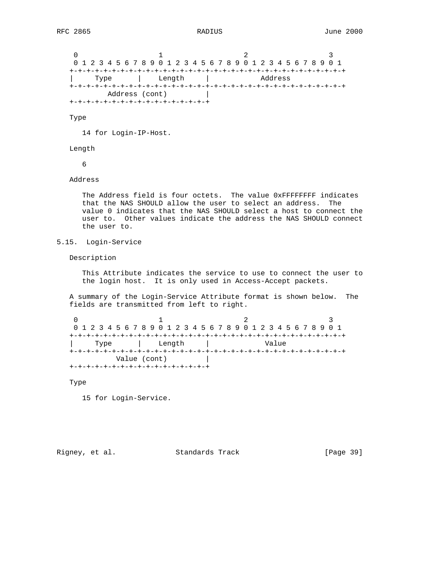0  $1$  2 3 0 1 2 3 4 5 6 7 8 9 0 1 2 3 4 5 6 7 8 9 0 1 2 3 4 5 6 7 8 9 0 1 +-+-+-+-+-+-+-+-+-+-+-+-+-+-+-+-+-+-+-+-+-+-+-+-+-+-+-+-+-+-+-+-+ | Type | Length | Address +-+-+-+-+-+-+-+-+-+-+-+-+-+-+-+-+-+-+-+-+-+-+-+-+-+-+-+-+-+-+-+-+ Address (cont) | +-+-+-+-+-+-+-+-+-+-+-+-+-+-+-+-+

Type

14 for Login-IP-Host.

Length

6

## Address

 The Address field is four octets. The value 0xFFFFFFFF indicates that the NAS SHOULD allow the user to select an address. The value 0 indicates that the NAS SHOULD select a host to connect the user to. Other values indicate the address the NAS SHOULD connect the user to.

5.15. Login-Service

Description

 This Attribute indicates the service to use to connect the user to the login host. It is only used in Access-Accept packets.

 A summary of the Login-Service Attribute format is shown below. The fields are transmitted from left to right.

| 0 1 2 3 4 5 6 7 8 9 0 1 2 3 4 5 6 7 8 9 0 1 2 3 4 5 6 7 8 9 0 1 |              |        |  |  |       |  |  |  |
|-----------------------------------------------------------------|--------------|--------|--|--|-------|--|--|--|
|                                                                 |              |        |  |  |       |  |  |  |
| Type                                                            |              | Length |  |  | Value |  |  |  |
|                                                                 |              |        |  |  |       |  |  |  |
|                                                                 | Value (cont) |        |  |  |       |  |  |  |
| --+-+-+-+-+-+-+-+-+-+-+-+-+-                                    |              |        |  |  |       |  |  |  |

### Type

15 for Login-Service.

Rigney, et al. Standards Track [Page 39]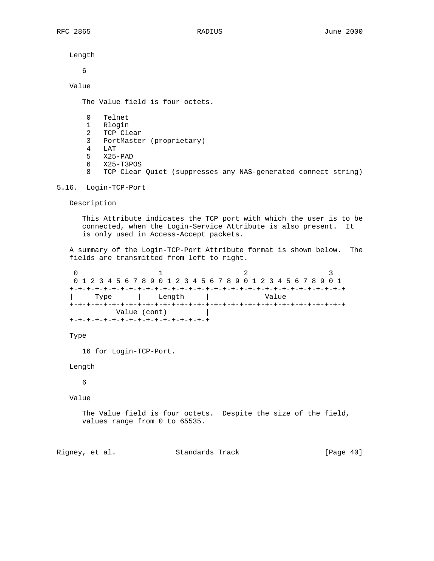Length

6

# Value

The Value field is four octets.

- 0 Telnet
- 1 Rlogin
- 2 TCP Clear
- 3 PortMaster (proprietary)
- 4 LAT
- 5 X25-PAD
- 6 X25-T3POS
- 8 TCP Clear Quiet (suppresses any NAS-generated connect string)

### 5.16. Login-TCP-Port

Description

 This Attribute indicates the TCP port with which the user is to be connected, when the Login-Service Attribute is also present. It is only used in Access-Accept packets.

 A summary of the Login-TCP-Port Attribute format is shown below. The fields are transmitted from left to right.

| 0 1 2 3 4 5 6 7 8 9 0 1 2 3 4 5 6 7 8 9 0 1 2 3 4 5 6 7 8 9 0 1 |  |  |  |                      |  |        |  |  |  |  |  |  |  |  |  |       |  |  |  |  |  |  |
|-----------------------------------------------------------------|--|--|--|----------------------|--|--------|--|--|--|--|--|--|--|--|--|-------|--|--|--|--|--|--|
|                                                                 |  |  |  |                      |  |        |  |  |  |  |  |  |  |  |  |       |  |  |  |  |  |  |
| Type                                                            |  |  |  |                      |  | Length |  |  |  |  |  |  |  |  |  | Value |  |  |  |  |  |  |
|                                                                 |  |  |  |                      |  |        |  |  |  |  |  |  |  |  |  |       |  |  |  |  |  |  |
|                                                                 |  |  |  | Value (cont)         |  |        |  |  |  |  |  |  |  |  |  |       |  |  |  |  |  |  |
|                                                                 |  |  |  | +-+-+-+-+-+-+-+-+-+- |  |        |  |  |  |  |  |  |  |  |  |       |  |  |  |  |  |  |

# Type

16 for Login-TCP-Port.

Length

6

Value

 The Value field is four octets. Despite the size of the field, values range from 0 to 65535.

Rigney, et al. Standards Track [Page 40]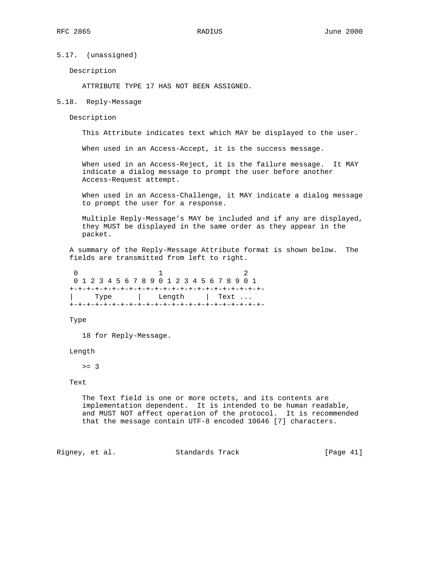# 5.17. (unassigned)

Description

ATTRIBUTE TYPE 17 HAS NOT BEEN ASSIGNED.

### 5.18. Reply-Message

Description

This Attribute indicates text which MAY be displayed to the user.

When used in an Access-Accept, it is the success message.

 When used in an Access-Reject, it is the failure message. It MAY indicate a dialog message to prompt the user before another Access-Request attempt.

 When used in an Access-Challenge, it MAY indicate a dialog message to prompt the user for a response.

 Multiple Reply-Message's MAY be included and if any are displayed, they MUST be displayed in the same order as they appear in the packet.

 A summary of the Reply-Message Attribute format is shown below. The fields are transmitted from left to right.

|  |  |  |  | 0 1 2 3 4 5 6 7 8 9 0 1 2 3 4 5 6 7 8 9 0 1 |  |  |  |  |  |  |  |
|--|--|--|--|---------------------------------------------|--|--|--|--|--|--|--|
|  |  |  |  |                                             |  |  |  |  |  |  |  |
|  |  |  |  | Type   Length   Text                        |  |  |  |  |  |  |  |
|  |  |  |  |                                             |  |  |  |  |  |  |  |

# Type

18 for Reply-Message.

#### Length

 $>= 3$ 

### Text

 The Text field is one or more octets, and its contents are implementation dependent. It is intended to be human readable, and MUST NOT affect operation of the protocol. It is recommended that the message contain UTF-8 encoded 10646 [7] characters.

Rigney, et al. Standards Track [Page 41]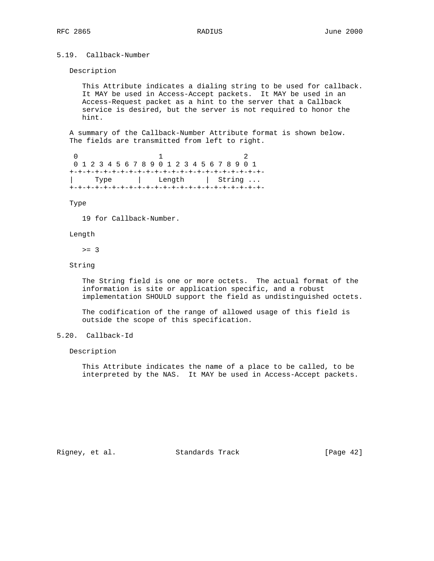# 5.19. Callback-Number

Description

 This Attribute indicates a dialing string to be used for callback. It MAY be used in Access-Accept packets. It MAY be used in an Access-Request packet as a hint to the server that a Callback service is desired, but the server is not required to honor the hint.

 A summary of the Callback-Number Attribute format is shown below. The fields are transmitted from left to right.

 $0$  1 2 0 1 2 3 4 5 6 7 8 9 0 1 2 3 4 5 6 7 8 9 0 1 +-+-+-+-+-+-+-+-+-+-+-+-+-+-+-+-+-+-+-+-+-+-+- | Type | Length | String ... +-+-+-+-+-+-+-+-+-+-+-+-+-+-+-+-+-+-+-+-+-+-+-

Type

19 for Callback-Number.

# Length

 $>= 3$ 

# String

 The String field is one or more octets. The actual format of the information is site or application specific, and a robust implementation SHOULD support the field as undistinguished octets.

 The codification of the range of allowed usage of this field is outside the scope of this specification.

# 5.20. Callback-Id

Description

 This Attribute indicates the name of a place to be called, to be interpreted by the NAS. It MAY be used in Access-Accept packets.

Rigney, et al. Standards Track [Page 42]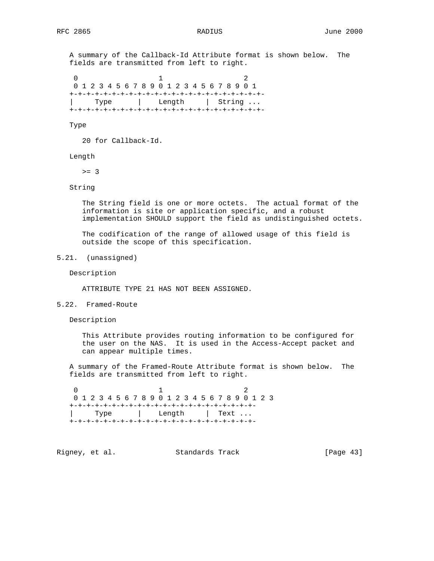A summary of the Callback-Id Attribute format is shown below. The fields are transmitted from left to right.

 $0$  1 2 0 1 2 3 4 5 6 7 8 9 0 1 2 3 4 5 6 7 8 9 0 1 +-+-+-+-+-+-+-+-+-+-+-+-+-+-+-+-+-+-+-+-+-+-+- Length | String ... +-+-+-+-+-+-+-+-+-+-+-+-+-+-+-+-+-+-+-+-+-+-+-

Type

20 for Callback-Id.

Length

 $>= 3$ 

String

 The String field is one or more octets. The actual format of the information is site or application specific, and a robust implementation SHOULD support the field as undistinguished octets.

 The codification of the range of allowed usage of this field is outside the scope of this specification.

5.21. (unassigned)

Description

ATTRIBUTE TYPE 21 HAS NOT BEEN ASSIGNED.

5.22. Framed-Route

Description

 This Attribute provides routing information to be configured for the user on the NAS. It is used in the Access-Accept packet and can appear multiple times.

 A summary of the Framed-Route Attribute format is shown below. The fields are transmitted from left to right.

 $0$  1 2 0 1 2 3 4 5 6 7 8 9 0 1 2 3 4 5 6 7 8 9 0 1 2 3 +-+-+-+-+-+-+-+-+-+-+-+-+-+-+-+-+-+-+-+-+-+- | Type | Length | Text ... +-+-+-+-+-+-+-+-+-+-+-+-+-+-+-+-+-+-+-+-+-+-

Rigney, et al. Standards Track [Page 43]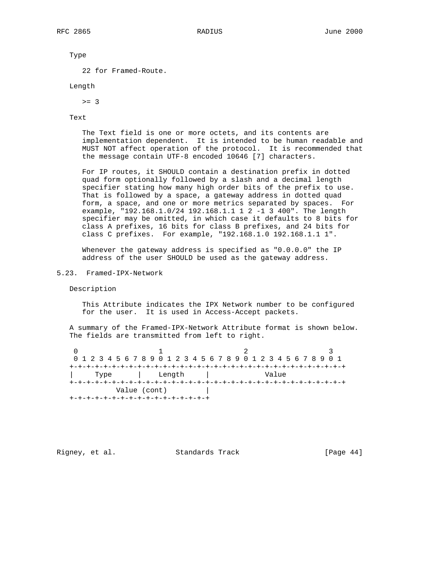Type

22 for Framed-Route.

Length

 $>= 3$ 

Text

 The Text field is one or more octets, and its contents are implementation dependent. It is intended to be human readable and MUST NOT affect operation of the protocol. It is recommended that the message contain UTF-8 encoded 10646 [7] characters.

 For IP routes, it SHOULD contain a destination prefix in dotted quad form optionally followed by a slash and a decimal length specifier stating how many high order bits of the prefix to use. That is followed by a space, a gateway address in dotted quad form, a space, and one or more metrics separated by spaces. For example, "192.168.1.0/24 192.168.1.1 1 2 -1 3 400". The length specifier may be omitted, in which case it defaults to 8 bits for class A prefixes, 16 bits for class B prefixes, and 24 bits for class C prefixes. For example, "192.168.1.0 192.168.1.1 1".

 Whenever the gateway address is specified as "0.0.0.0" the IP address of the user SHOULD be used as the gateway address.

5.23. Framed-IPX-Network

Description

 This Attribute indicates the IPX Network number to be configured for the user. It is used in Access-Accept packets.

 A summary of the Framed-IPX-Network Attribute format is shown below. The fields are transmitted from left to right.

0  $1$  2 3 0 1 2 3 4 5 6 7 8 9 0 1 2 3 4 5 6 7 8 9 0 1 2 3 4 5 6 7 8 9 0 1 +-+-+-+-+-+-+-+-+-+-+-+-+-+-+-+-+-+-+-+-+-+-+-+-+-+-+-+-+-+-+-+-+ | Type | Length | Value +-+-+-+-+-+-+-+-+-+-+-+-+-+-+-+-+-+-+-+-+-+-+-+-+-+-+-+-+-+-+-+-+ Value (cont) | +-+-+-+-+-+-+-+-+-+-+-+-+-+-+-+-+

Rigney, et al. Standards Track [Page 44]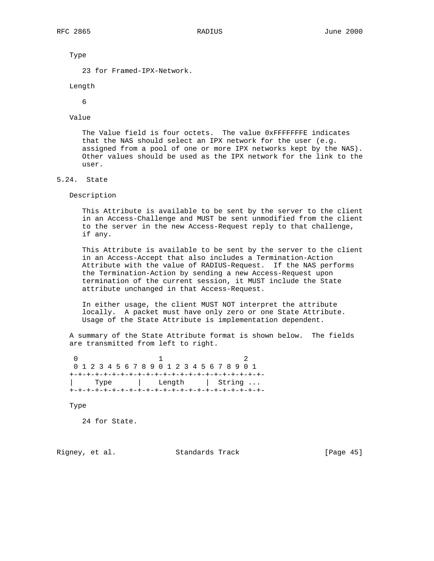Type

23 for Framed-IPX-Network.

Length

6

Value

 The Value field is four octets. The value 0xFFFFFFFE indicates that the NAS should select an IPX network for the user (e.g. assigned from a pool of one or more IPX networks kept by the NAS). Other values should be used as the IPX network for the link to the user.

# 5.24. State

Description

 This Attribute is available to be sent by the server to the client in an Access-Challenge and MUST be sent unmodified from the client to the server in the new Access-Request reply to that challenge, if any.

 This Attribute is available to be sent by the server to the client in an Access-Accept that also includes a Termination-Action Attribute with the value of RADIUS-Request. If the NAS performs the Termination-Action by sending a new Access-Request upon termination of the current session, it MUST include the State attribute unchanged in that Access-Request.

 In either usage, the client MUST NOT interpret the attribute locally. A packet must have only zero or one State Attribute. Usage of the State Attribute is implementation dependent.

 A summary of the State Attribute format is shown below. The fields are transmitted from left to right.

 $0$  1 2 0 1 2 3 4 5 6 7 8 9 0 1 2 3 4 5 6 7 8 9 0 1 +-+-+-+-+-+-+-+-+-+-+-+-+-+-+-+-+-+-+-+-+-+-+- Type | Length | String ... +-+-+-+-+-+-+-+-+-+-+-+-+-+-+-+-+-+-+-+-+-+-+-

Type

24 for State.

Rigney, et al. Standards Track [Page 45]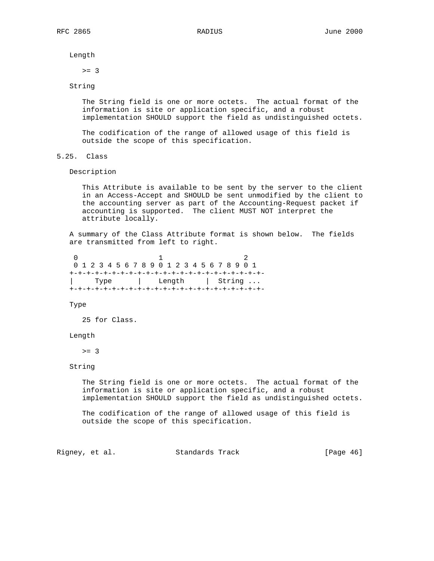Length

 $>= 3$ 

# String

 The String field is one or more octets. The actual format of the information is site or application specific, and a robust implementation SHOULD support the field as undistinguished octets.

 The codification of the range of allowed usage of this field is outside the scope of this specification.

5.25. Class

Description

 This Attribute is available to be sent by the server to the client in an Access-Accept and SHOULD be sent unmodified by the client to the accounting server as part of the Accounting-Request packet if accounting is supported. The client MUST NOT interpret the attribute locally.

 A summary of the Class Attribute format is shown below. The fields are transmitted from left to right.

 $0$  and  $1$  and  $2$  0 1 2 3 4 5 6 7 8 9 0 1 2 3 4 5 6 7 8 9 0 1 +-+-+-+-+-+-+-+-+-+-+-+-+-+-+-+-+-+-+-+-+-+-+- Type | Length | String ... +-+-+-+-+-+-+-+-+-+-+-+-+-+-+-+-+-+-+-+-+-+-+-

Type

25 for Class.

#### Length

 $>= 3$ 

# String

 The String field is one or more octets. The actual format of the information is site or application specific, and a robust implementation SHOULD support the field as undistinguished octets.

 The codification of the range of allowed usage of this field is outside the scope of this specification.

Rigney, et al. Standards Track [Page 46]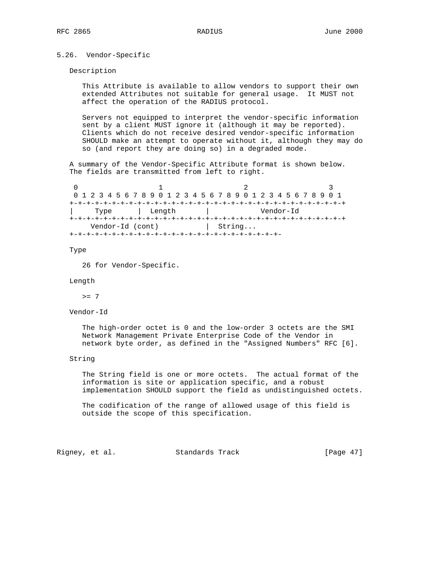# 5.26. Vendor-Specific

Description

 This Attribute is available to allow vendors to support their own extended Attributes not suitable for general usage. It MUST not affect the operation of the RADIUS protocol.

 Servers not equipped to interpret the vendor-specific information sent by a client MUST ignore it (although it may be reported). Clients which do not receive desired vendor-specific information SHOULD make an attempt to operate without it, although they may do so (and report they are doing so) in a degraded mode.

 A summary of the Vendor-Specific Attribute format is shown below. The fields are transmitted from left to right.

|      |                  | 0 1 2 3 4 5 6 7 8 9 0 1 2 3 4 5 6 7 8 9 0 1 2 3 4 5 6 7 8 9 0 1 |  |
|------|------------------|-----------------------------------------------------------------|--|
|      |                  | +-+-+-+-+-+-+-+-+-+-+-+-+-+-+-+-+-+-                            |  |
| Type | Length           | Vendor-Id                                                       |  |
|      |                  |                                                                 |  |
|      | Vendor-Id (cont) | String                                                          |  |
|      |                  |                                                                 |  |

Type

26 for Vendor-Specific.

Length

 $>=$  7

Vendor-Id

 The high-order octet is 0 and the low-order 3 octets are the SMI Network Management Private Enterprise Code of the Vendor in network byte order, as defined in the "Assigned Numbers" RFC [6].

#### String

 The String field is one or more octets. The actual format of the information is site or application specific, and a robust implementation SHOULD support the field as undistinguished octets.

 The codification of the range of allowed usage of this field is outside the scope of this specification.

Rigney, et al. Standards Track [Page 47]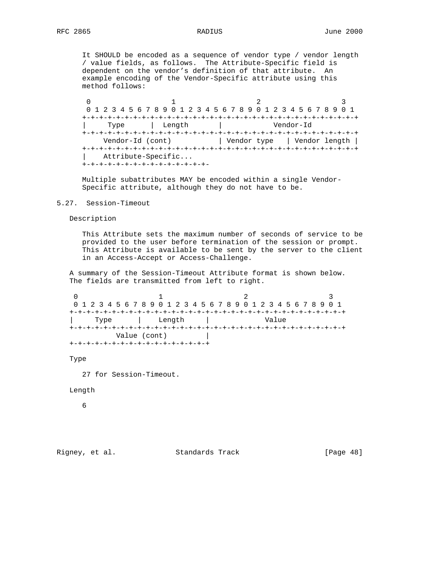It SHOULD be encoded as a sequence of vendor type / vendor length / value fields, as follows. The Attribute-Specific field is dependent on the vendor's definition of that attribute. An example encoding of the Vendor-Specific attribute using this method follows:

 $0$  1 2 3 0 1 2 3 4 5 6 7 8 9 0 1 2 3 4 5 6 7 8 9 0 1 2 3 4 5 6 7 8 9 0 1 +-+-+-+-+-+-+-+-+-+-+-+-+-+-+-+-+-+-+-+-+-+-+-+-+-+-+-+-+-+-+-+-+ | Type | Length | Vendor-Id +-+-+-+-+-+-+-+-+-+-+-+-+-+-+-+-+-+-+-+-+-+-+-+-+-+-+-+-+-+-+-+-+ Vendor-Id (cont) | Vendor type | Vendor length | +-+-+-+-+-+-+-+-+-+-+-+-+-+-+-+-+-+-+-+-+-+-+-+-+-+-+-+-+-+-+-+-+ | Attribute-Specific... +-+-+-+-+-+-+-+-+-+-+-+-+-+-+-

 Multiple subattributes MAY be encoded within a single Vendor- Specific attribute, although they do not have to be.

# 5.27. Session-Timeout

Description

 This Attribute sets the maximum number of seconds of service to be provided to the user before termination of the session or prompt. This Attribute is available to be sent by the server to the client in an Access-Accept or Access-Challenge.

 A summary of the Session-Timeout Attribute format is shown below. The fields are transmitted from left to right.

0  $1$  2 3 0 1 2 3 4 5 6 7 8 9 0 1 2 3 4 5 6 7 8 9 0 1 2 3 4 5 6 7 8 9 0 1 +-+-+-+-+-+-+-+-+-+-+-+-+-+-+-+-+-+-+-+-+-+-+-+-+-+-+-+-+-+-+-+-+ | Type | Length | Value +-+-+-+-+-+-+-+-+-+-+-+-+-+-+-+-+-+-+-+-+-+-+-+-+-+-+-+-+-+-+-+-+ Value (cont) | +-+-+-+-+-+-+-+-+-+-+-+-+-+-+-+-+

Type

27 for Session-Timeout.

### Length

6

Rigney, et al. Standards Track [Page 48]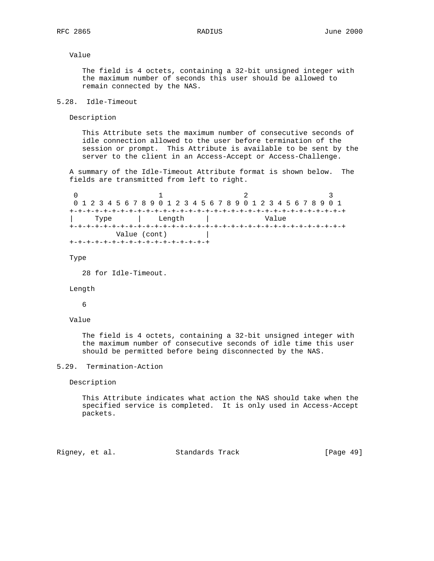Value

 The field is 4 octets, containing a 32-bit unsigned integer with the maximum number of seconds this user should be allowed to remain connected by the NAS.

5.28. Idle-Timeout

Description

 This Attribute sets the maximum number of consecutive seconds of idle connection allowed to the user before termination of the session or prompt. This Attribute is available to be sent by the server to the client in an Access-Accept or Access-Challenge.

 A summary of the Idle-Timeout Attribute format is shown below. The fields are transmitted from left to right.

0  $1$  2 3 0 1 2 3 4 5 6 7 8 9 0 1 2 3 4 5 6 7 8 9 0 1 2 3 4 5 6 7 8 9 0 1 +-+-+-+-+-+-+-+-+-+-+-+-+-+-+-+-+-+-+-+-+-+-+-+-+-+-+-+-+-+-+-+-+ | Type | Length | Value +-+-+-+-+-+-+-+-+-+-+-+-+-+-+-+-+-+-+-+-+-+-+-+-+-+-+-+-+-+-+-+-+ Value (cont) | +-+-+-+-+-+-+-+-+-+-+-+-+-+-+-+-+

Type

28 for Idle-Timeout.

Length

6

Value

 The field is 4 octets, containing a 32-bit unsigned integer with the maximum number of consecutive seconds of idle time this user should be permitted before being disconnected by the NAS.

# 5.29. Termination-Action

Description

 This Attribute indicates what action the NAS should take when the specified service is completed. It is only used in Access-Accept packets.

Rigney, et al. Standards Track [Page 49]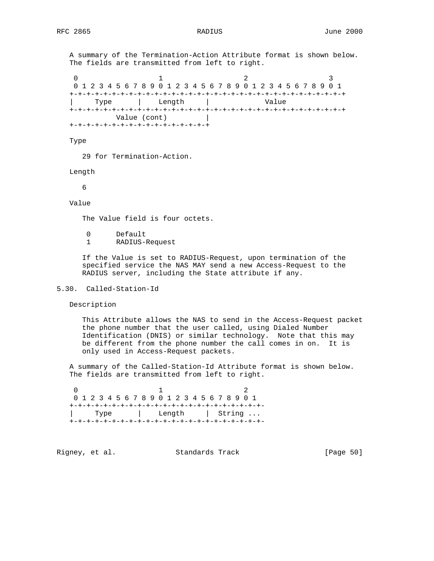A summary of the Termination-Action Attribute format is shown below. The fields are transmitted from left to right.

0  $1$  2 3 0 1 2 3 4 5 6 7 8 9 0 1 2 3 4 5 6 7 8 9 0 1 2 3 4 5 6 7 8 9 0 1 +-+-+-+-+-+-+-+-+-+-+-+-+-+-+-+-+-+-+-+-+-+-+-+-+-+-+-+-+-+-+-+-+ | Type | Length | Value +-+-+-+-+-+-+-+-+-+-+-+-+-+-+-+-+-+-+-+-+-+-+-+-+-+-+-+-+-+-+-+-+ Value (cont) | +-+-+-+-+-+-+-+-+-+-+-+-+-+-+-+-+

Type

29 for Termination-Action.

Length

6

Value

The Value field is four octets.

0 Default<br>1 RADIUS-F 1 RADIUS-Request

 If the Value is set to RADIUS-Request, upon termination of the specified service the NAS MAY send a new Access-Request to the RADIUS server, including the State attribute if any.

5.30. Called-Station-Id

Description

 This Attribute allows the NAS to send in the Access-Request packet the phone number that the user called, using Dialed Number Identification (DNIS) or similar technology. Note that this may be different from the phone number the call comes in on. It is only used in Access-Request packets.

 A summary of the Called-Station-Id Attribute format is shown below. The fields are transmitted from left to right.

 $0$  1 2 0 1 2 3 4 5 6 7 8 9 0 1 2 3 4 5 6 7 8 9 0 1 +-+-+-+-+-+-+-+-+-+-+-+-+-+-+-+-+-+-+-+-+-+-+- | Type | Length | String ... +-+-+-+-+-+-+-+-+-+-+-+-+-+-+-+-+-+-+-+-+-+-+-

Rigney, et al. Standards Track [Page 50]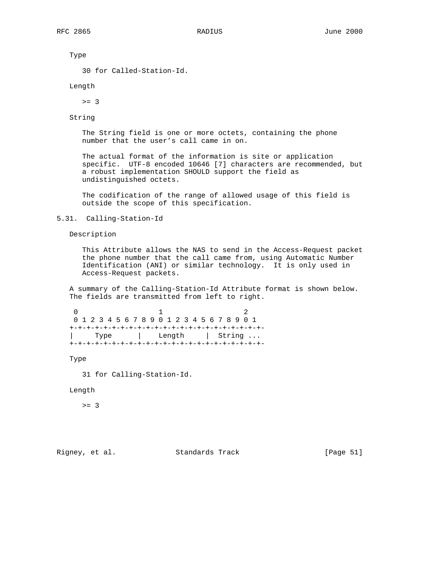Type

30 for Called-Station-Id.

Length

 $>= 3$ 

String

 The String field is one or more octets, containing the phone number that the user's call came in on.

 The actual format of the information is site or application specific. UTF-8 encoded 10646 [7] characters are recommended, but a robust implementation SHOULD support the field as undistinguished octets.

 The codification of the range of allowed usage of this field is outside the scope of this specification.

# 5.31. Calling-Station-Id

Description

 This Attribute allows the NAS to send in the Access-Request packet the phone number that the call came from, using Automatic Number Identification (ANI) or similar technology. It is only used in Access-Request packets.

 A summary of the Calling-Station-Id Attribute format is shown below. The fields are transmitted from left to right.

| 0 1 2 3 4 5 6 7 8 9 0 1 2 3 4 5 6 7 8 9 0 1 |  |  |  |  |  |  |  |  |  |                        |
|---------------------------------------------|--|--|--|--|--|--|--|--|--|------------------------|
|                                             |  |  |  |  |  |  |  |  |  |                        |
|                                             |  |  |  |  |  |  |  |  |  | Type   Length   String |
|                                             |  |  |  |  |  |  |  |  |  |                        |

Type

31 for Calling-Station-Id.

### Length

>= 3

Rigney, et al. Standards Track [Page 51]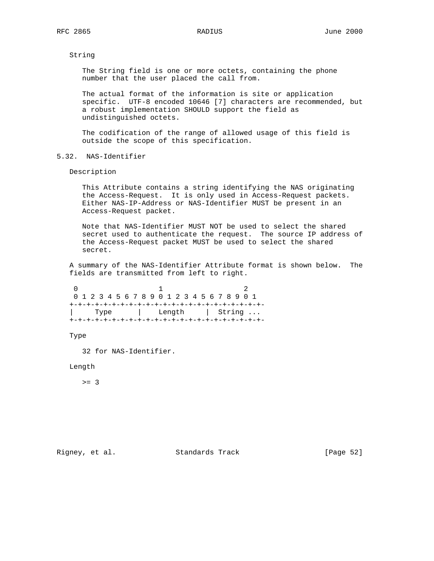# String

 The String field is one or more octets, containing the phone number that the user placed the call from.

 The actual format of the information is site or application specific. UTF-8 encoded 10646 [7] characters are recommended, but a robust implementation SHOULD support the field as undistinguished octets.

 The codification of the range of allowed usage of this field is outside the scope of this specification.

5.32. NAS-Identifier

Description

 This Attribute contains a string identifying the NAS originating the Access-Request. It is only used in Access-Request packets. Either NAS-IP-Address or NAS-Identifier MUST be present in an Access-Request packet.

 Note that NAS-Identifier MUST NOT be used to select the shared secret used to authenticate the request. The source IP address of the Access-Request packet MUST be used to select the shared secret.

 A summary of the NAS-Identifier Attribute format is shown below. The fields are transmitted from left to right.

 $0$  1 2 0 1 2 3 4 5 6 7 8 9 0 1 2 3 4 5 6 7 8 9 0 1 +-+-+-+-+-+-+-+-+-+-+-+-+-+-+-+-+-+-+-+-+-+-+- Type | Length | String ... +-+-+-+-+-+-+-+-+-+-+-+-+-+-+-+-+-+-+-+-+-+-+-

# Type

32 for NAS-Identifier.

Length

 $>= 3$ 

Rigney, et al. Standards Track [Page 52]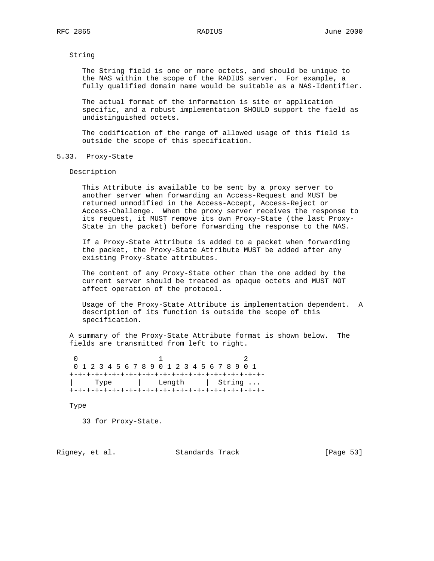#### String

 The String field is one or more octets, and should be unique to the NAS within the scope of the RADIUS server. For example, a fully qualified domain name would be suitable as a NAS-Identifier.

 The actual format of the information is site or application specific, and a robust implementation SHOULD support the field as undistinguished octets.

 The codification of the range of allowed usage of this field is outside the scope of this specification.

# 5.33. Proxy-State

Description

 This Attribute is available to be sent by a proxy server to another server when forwarding an Access-Request and MUST be returned unmodified in the Access-Accept, Access-Reject or Access-Challenge. When the proxy server receives the response to its request, it MUST remove its own Proxy-State (the last Proxy- State in the packet) before forwarding the response to the NAS.

 If a Proxy-State Attribute is added to a packet when forwarding the packet, the Proxy-State Attribute MUST be added after any existing Proxy-State attributes.

 The content of any Proxy-State other than the one added by the current server should be treated as opaque octets and MUST NOT affect operation of the protocol.

 Usage of the Proxy-State Attribute is implementation dependent. A description of its function is outside the scope of this specification.

 A summary of the Proxy-State Attribute format is shown below. The fields are transmitted from left to right.

 $0$  1 2 0 1 2 3 4 5 6 7 8 9 0 1 2 3 4 5 6 7 8 9 0 1 +-+-+-+-+-+-+-+-+-+-+-+-+-+-+-+-+-+-+-+-+-+-+- Type | Length | String ... +-+-+-+-+-+-+-+-+-+-+-+-+-+-+-+-+-+-+-+-+-+-+-

Type

33 for Proxy-State.

Rigney, et al. Standards Track [Page 53]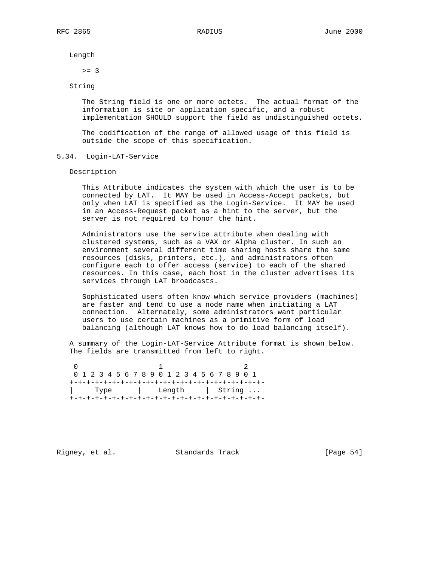Length

 $>= 3$ 

# String

 The String field is one or more octets. The actual format of the information is site or application specific, and a robust implementation SHOULD support the field as undistinguished octets.

 The codification of the range of allowed usage of this field is outside the scope of this specification.

### 5.34. Login-LAT-Service

Description

 This Attribute indicates the system with which the user is to be connected by LAT. It MAY be used in Access-Accept packets, but only when LAT is specified as the Login-Service. It MAY be used in an Access-Request packet as a hint to the server, but the server is not required to honor the hint.

 Administrators use the service attribute when dealing with clustered systems, such as a VAX or Alpha cluster. In such an environment several different time sharing hosts share the same resources (disks, printers, etc.), and administrators often configure each to offer access (service) to each of the shared resources. In this case, each host in the cluster advertises its services through LAT broadcasts.

 Sophisticated users often know which service providers (machines) are faster and tend to use a node name when initiating a LAT connection. Alternately, some administrators want particular users to use certain machines as a primitive form of load balancing (although LAT knows how to do load balancing itself).

 A summary of the Login-LAT-Service Attribute format is shown below. The fields are transmitted from left to right.

 $0$  1 2 0 1 2 3 4 5 6 7 8 9 0 1 2 3 4 5 6 7 8 9 0 1 +-+-+-+-+-+-+-+-+-+-+-+-+-+-+-+-+-+-+-+-+-+-+- | Type | Length | String ... +-+-+-+-+-+-+-+-+-+-+-+-+-+-+-+-+-+-+-+-+-+-+-

Rigney, et al. Standards Track [Page 54]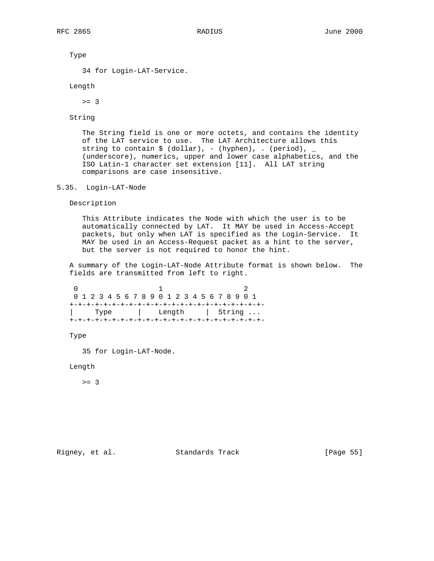Type

34 for Login-LAT-Service.

Length

 $>= 3$ 

String

 The String field is one or more octets, and contains the identity of the LAT service to use. The LAT Architecture allows this string to contain  $$ (dollar)$ , -  $(hyphen)$ , .  $(period)$ , \_ (underscore), numerics, upper and lower case alphabetics, and the ISO Latin-1 character set extension [11]. All LAT string comparisons are case insensitive.

# 5.35. Login-LAT-Node

Description

 This Attribute indicates the Node with which the user is to be automatically connected by LAT. It MAY be used in Access-Accept packets, but only when LAT is specified as the Login-Service. It MAY be used in an Access-Request packet as a hint to the server, but the server is not required to honor the hint.

 A summary of the Login-LAT-Node Attribute format is shown below. The fields are transmitted from left to right.

 $0$  1 2 0 1 2 3 4 5 6 7 8 9 0 1 2 3 4 5 6 7 8 9 0 1 +-+-+-+-+-+-+-+-+-+-+-+-+-+-+-+-+-+-+-+-+-+-+- Type | Length | String ... +-+-+-+-+-+-+-+-+-+-+-+-+-+-+-+-+-+-+-+-+-+-+-

Type

35 for Login-LAT-Node.

Length

 $>= 3$ 

Rigney, et al. Standards Track [Page 55]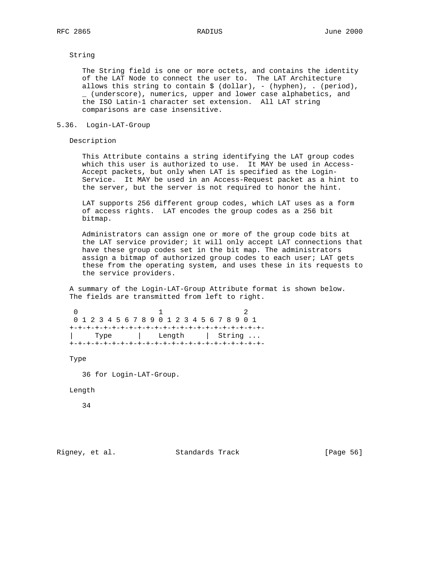### String

 The String field is one or more octets, and contains the identity of the LAT Node to connect the user to. The LAT Architecture allows this string to contain  $\frac{1}{2}$  (dollar), - (hyphen), . (period), \_ (underscore), numerics, upper and lower case alphabetics, and the ISO Latin-1 character set extension. All LAT string comparisons are case insensitive.

# 5.36. Login-LAT-Group

# Description

 This Attribute contains a string identifying the LAT group codes which this user is authorized to use. It MAY be used in Access- Accept packets, but only when LAT is specified as the Login- Service. It MAY be used in an Access-Request packet as a hint to the server, but the server is not required to honor the hint.

 LAT supports 256 different group codes, which LAT uses as a form of access rights. LAT encodes the group codes as a 256 bit bitmap.

 Administrators can assign one or more of the group code bits at the LAT service provider; it will only accept LAT connections that have these group codes set in the bit map. The administrators assign a bitmap of authorized group codes to each user; LAT gets these from the operating system, and uses these in its requests to the service providers.

 A summary of the Login-LAT-Group Attribute format is shown below. The fields are transmitted from left to right.

| 0 1 2 3 4 5 6 7 8 9 0 1 2 3 4 5 6 7 8 9 0 1 |  |  |  |  |  |  |  |  |  |                        |
|---------------------------------------------|--|--|--|--|--|--|--|--|--|------------------------|
|                                             |  |  |  |  |  |  |  |  |  |                        |
|                                             |  |  |  |  |  |  |  |  |  | Type   Length   String |
|                                             |  |  |  |  |  |  |  |  |  |                        |

Type

36 for Login-LAT-Group.

### Length

# 34

Rigney, et al. Standards Track [Page 56]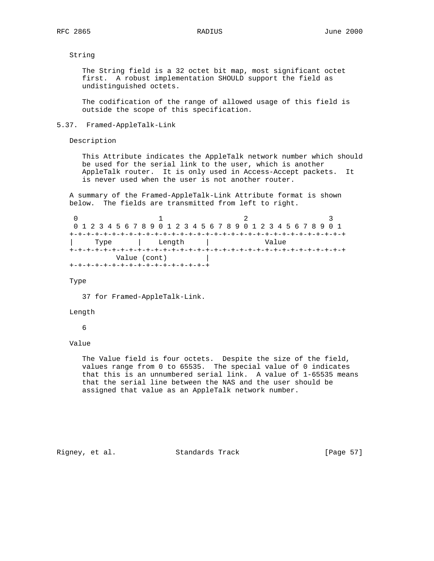String

 The String field is a 32 octet bit map, most significant octet first. A robust implementation SHOULD support the field as undistinguished octets.

 The codification of the range of allowed usage of this field is outside the scope of this specification.

# 5.37. Framed-AppleTalk-Link

Description

 This Attribute indicates the AppleTalk network number which should be used for the serial link to the user, which is another AppleTalk router. It is only used in Access-Accept packets. It is never used when the user is not another router.

 A summary of the Framed-AppleTalk-Link Attribute format is shown below. The fields are transmitted from left to right.

0  $1$  2 3 0 1 2 3 4 5 6 7 8 9 0 1 2 3 4 5 6 7 8 9 0 1 2 3 4 5 6 7 8 9 0 1 +-+-+-+-+-+-+-+-+-+-+-+-+-+-+-+-+-+-+-+-+-+-+-+-+-+-+-+-+-+-+-+-+ | Type | Length | Value +-+-+-+-+-+-+-+-+-+-+-+-+-+-+-+-+-+-+-+-+-+-+-+-+-+-+-+-+-+-+-+-+ Value (cont) | +-+-+-+-+-+-+-+-+-+-+-+-+-+-+-+-+

Type

37 for Framed-AppleTalk-Link.

Length

6

Value

 The Value field is four octets. Despite the size of the field, values range from 0 to 65535. The special value of 0 indicates that this is an unnumbered serial link. A value of 1-65535 means that the serial line between the NAS and the user should be assigned that value as an AppleTalk network number.

Rigney, et al. Standards Track [Page 57]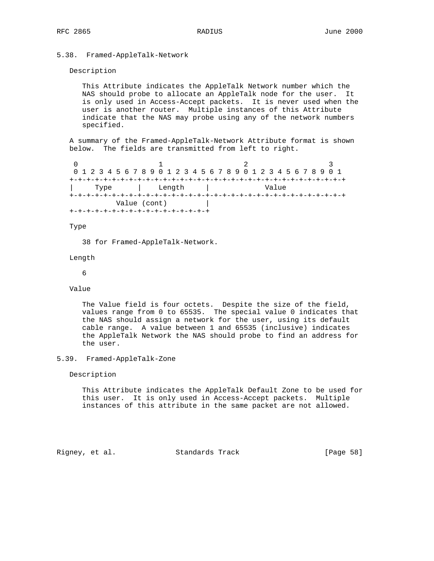# 5.38. Framed-AppleTalk-Network

# Description

 This Attribute indicates the AppleTalk Network number which the NAS should probe to allocate an AppleTalk node for the user. It is only used in Access-Accept packets. It is never used when the user is another router. Multiple instances of this Attribute indicate that the NAS may probe using any of the network numbers specified.

 A summary of the Framed-AppleTalk-Network Attribute format is shown below. The fields are transmitted from left to right.

0  $1$  2 3 0 1 2 3 4 5 6 7 8 9 0 1 2 3 4 5 6 7 8 9 0 1 2 3 4 5 6 7 8 9 0 1 +-+-+-+-+-+-+-+-+-+-+-+-+-+-+-+-+-+-+-+-+-+-+-+-+-+-+-+-+-+-+-+-+ | Type | Length | Value +-+-+-+-+-+-+-+-+-+-+-+-+-+-+-+-+-+-+-+-+-+-+-+-+-+-+-+-+-+-+-+-+ Value (cont) | +-+-+-+-+-+-+-+-+-+-+-+-+-+-+-+-+

Type

38 for Framed-AppleTalk-Network.

Length

6

Value

 The Value field is four octets. Despite the size of the field, values range from 0 to 65535. The special value 0 indicates that the NAS should assign a network for the user, using its default cable range. A value between 1 and 65535 (inclusive) indicates the AppleTalk Network the NAS should probe to find an address for the user.

# 5.39. Framed-AppleTalk-Zone

# Description

 This Attribute indicates the AppleTalk Default Zone to be used for this user. It is only used in Access-Accept packets. Multiple instances of this attribute in the same packet are not allowed.

Rigney, et al. Standards Track [Page 58]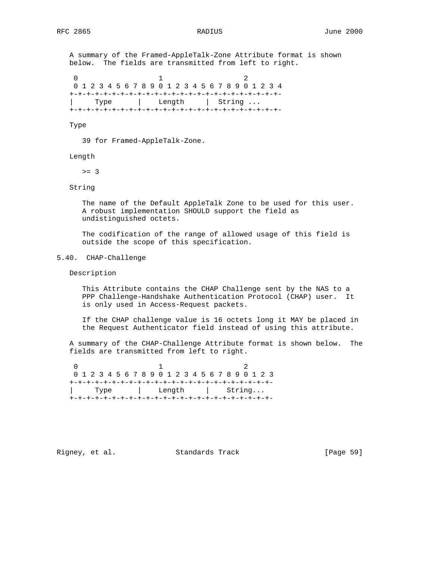A summary of the Framed-AppleTalk-Zone Attribute format is shown below. The fields are transmitted from left to right.

 $0$  1 2 0 1 2 3 4 5 6 7 8 9 0 1 2 3 4 5 6 7 8 9 0 1 2 3 4 +-+-+-+-+-+-+-+-+-+-+-+-+-+-+-+-+-+-+-+-+-+-+-+-+- Length | String ... +-+-+-+-+-+-+-+-+-+-+-+-+-+-+-+-+-+-+-+-+-+-+-+-+-

Type

39 for Framed-AppleTalk-Zone.

Length

 $>= 3$ 

String

 The name of the Default AppleTalk Zone to be used for this user. A robust implementation SHOULD support the field as undistinguished octets.

 The codification of the range of allowed usage of this field is outside the scope of this specification.

5.40. CHAP-Challenge

Description

 This Attribute contains the CHAP Challenge sent by the NAS to a PPP Challenge-Handshake Authentication Protocol (CHAP) user. It is only used in Access-Request packets.

 If the CHAP challenge value is 16 octets long it MAY be placed in the Request Authenticator field instead of using this attribute.

 A summary of the CHAP-Challenge Attribute format is shown below. The fields are transmitted from left to right.

 $0$  1 2 0 1 2 3 4 5 6 7 8 9 0 1 2 3 4 5 6 7 8 9 0 1 2 3 +-+-+-+-+-+-+-+-+-+-+-+-+-+-+-+-+-+-+-+-+-+-+-+- | Type | Length | String... +-+-+-+-+-+-+-+-+-+-+-+-+-+-+-+-+-+-+-+-+-+-+-+-

Rigney, et al. Standards Track [Page 59]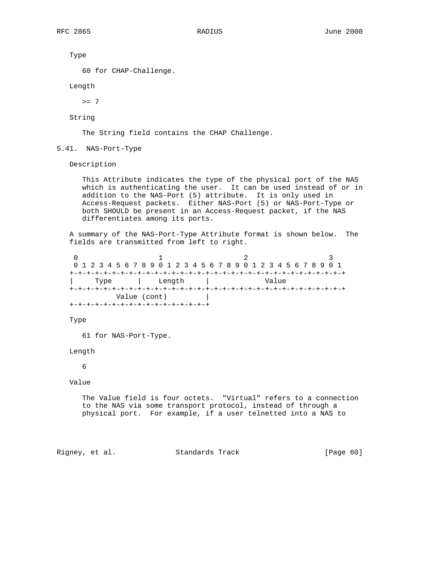Type

60 for CHAP-Challenge.

Length

 $>= 7$ 

String

The String field contains the CHAP Challenge.

5.41. NAS-Port-Type

Description

 This Attribute indicates the type of the physical port of the NAS which is authenticating the user. It can be used instead of or in addition to the NAS-Port (5) attribute. It is only used in Access-Request packets. Either NAS-Port (5) or NAS-Port-Type or both SHOULD be present in an Access-Request packet, if the NAS differentiates among its ports.

 A summary of the NAS-Port-Type Attribute format is shown below. The fields are transmitted from left to right.

0  $1$  2 3 0 1 2 3 4 5 6 7 8 9 0 1 2 3 4 5 6 7 8 9 0 1 2 3 4 5 6 7 8 9 0 1 +-+-+-+-+-+-+-+-+-+-+-+-+-+-+-+-+-+-+-+-+-+-+-+-+-+-+-+-+-+-+-+-+ | Type | Length | Value +-+-+-+-+-+-+-+-+-+-+-+-+-+-+-+-+-+-+-+-+-+-+-+-+-+-+-+-+-+-+-+-+ Value (cont) | +-+-+-+-+-+-+-+-+-+-+-+-+-+-+-+-+

Type

61 for NAS-Port-Type.

Length

6

Value

 The Value field is four octets. "Virtual" refers to a connection to the NAS via some transport protocol, instead of through a physical port. For example, if a user telnetted into a NAS to

Rigney, et al. Standards Track [Page 60]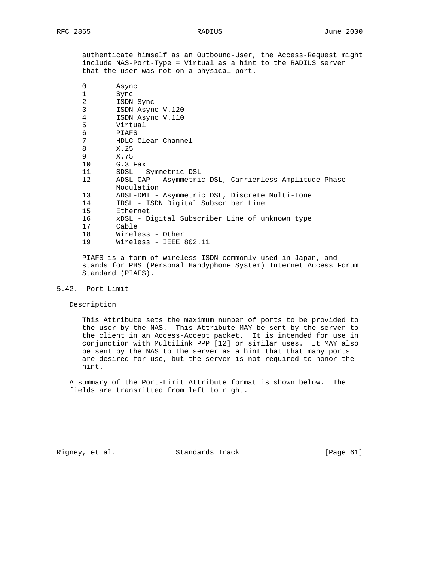authenticate himself as an Outbound-User, the Access-Request might include NAS-Port-Type = Virtual as a hint to the RADIUS server that the user was not on a physical port.

| 0             | Async                                                  |
|---------------|--------------------------------------------------------|
| 1             | Sync                                                   |
| 2             | ISDN Sync                                              |
| 3             | ISDN Async V.120                                       |
| 4             | ISDN Async V.110                                       |
| 5             | Virtual                                                |
| 6             | PIAFS                                                  |
| 7             | HDLC Clear Channel                                     |
| 8             | X.25                                                   |
| 9             | X.75                                                   |
| 10            | $G.3$ Fax                                              |
| $11$ and $11$ | SDSL - Symmetric DSL                                   |
| 12            | ADSL-CAP - Asymmetric DSL, Carrierless Amplitude Phase |
|               | Modulation                                             |
| 13            | ADSL-DMT - Asymmetric DSL, Discrete Multi-Tone         |
| 14            | IDSL - ISDN Digital Subscriber Line                    |
| 15            | Ethernet                                               |
| 16            | xDSL - Digital Subscriber Line of unknown type         |
| 17            | Cable                                                  |
| 18            | Wireless - Other                                       |
| 19            | Wireless - IEEE 802.11                                 |

 PIAFS is a form of wireless ISDN commonly used in Japan, and stands for PHS (Personal Handyphone System) Internet Access Forum Standard (PIAFS).

# 5.42. Port-Limit

Description

 This Attribute sets the maximum number of ports to be provided to the user by the NAS. This Attribute MAY be sent by the server to the client in an Access-Accept packet. It is intended for use in conjunction with Multilink PPP [12] or similar uses. It MAY also be sent by the NAS to the server as a hint that that many ports are desired for use, but the server is not required to honor the hint.

 A summary of the Port-Limit Attribute format is shown below. The fields are transmitted from left to right.

Rigney, et al. Standards Track [Page 61]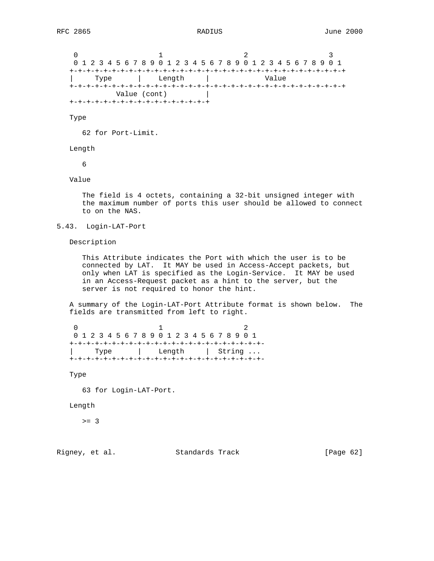0  $1$  2 3 0 1 2 3 4 5 6 7 8 9 0 1 2 3 4 5 6 7 8 9 0 1 2 3 4 5 6 7 8 9 0 1 +-+-+-+-+-+-+-+-+-+-+-+-+-+-+-+-+-+-+-+-+-+-+-+-+-+-+-+-+-+-+-+-+ | Type | Length | Value +-+-+-+-+-+-+-+-+-+-+-+-+-+-+-+-+-+-+-+-+-+-+-+-+-+-+-+-+-+-+-+-+ Value (cont) | +-+-+-+-+-+-+-+-+-+-+-+-+-+-+-+-+

Type

62 for Port-Limit.

Length

6

Value

 The field is 4 octets, containing a 32-bit unsigned integer with the maximum number of ports this user should be allowed to connect to on the NAS.

5.43. Login-LAT-Port

Description

 This Attribute indicates the Port with which the user is to be connected by LAT. It MAY be used in Access-Accept packets, but only when LAT is specified as the Login-Service. It MAY be used in an Access-Request packet as a hint to the server, but the server is not required to honor the hint.

 A summary of the Login-LAT-Port Attribute format is shown below. The fields are transmitted from left to right.

 $0$  and  $1$  and  $2$  0 1 2 3 4 5 6 7 8 9 0 1 2 3 4 5 6 7 8 9 0 1 +-+-+-+-+-+-+-+-+-+-+-+-+-+-+-+-+-+-+-+-+-+-+- Length | String ... +-+-+-+-+-+-+-+-+-+-+-+-+-+-+-+-+-+-+-+-+-+-+-

Type

63 for Login-LAT-Port.

# Length

 $>= 3$ 

Rigney, et al. Standards Track [Page 62]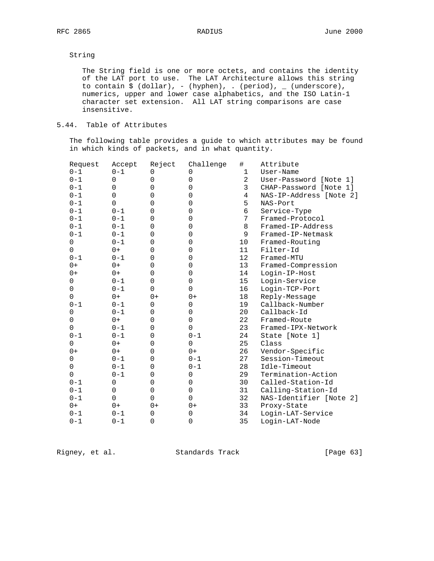# String

 The String field is one or more octets, and contains the identity of the LAT port to use. The LAT Architecture allows this string to contain  $$$  (dollar), - (hyphen), . (period),  $_{-}$  (underscore), numerics, upper and lower case alphabetics, and the ISO Latin-1 character set extension. All LAT string comparisons are case insensitive.

# 5.44. Table of Attributes

 The following table provides a guide to which attributes may be found in which kinds of packets, and in what quantity.

| Request | Accept      | Reject      | Challenge | #                 | Attribute               |
|---------|-------------|-------------|-----------|-------------------|-------------------------|
| $0 - 1$ | $0 - 1$     | $\Omega$    | 0         | 1                 | User-Name               |
| $0 - 1$ | $\Omega$    | 0           | $\Omega$  | $\overline{a}$    | User-Password [Note 1]  |
| $0 - 1$ | 0           | $\Omega$    | 0         | 3                 | CHAP-Password [Note 1]  |
| $0 - 1$ | $\mathbf 0$ | 0           | 0         | $\overline{4}$    | NAS-IP-Address [Note 2] |
| $0 - 1$ | 0           | 0           | 0         | 5                 | NAS-Port                |
| $0 - 1$ | $0 - 1$     | 0           | 0         | 6                 | Service-Type            |
| $0 - 1$ | $0 - 1$     | 0           | 0         | 7                 | Framed-Protocol         |
| $0 - 1$ | $0 - 1$     | 0           | 0         | 8                 | Framed-IP-Address       |
| $0 - 1$ | $0 - 1$     | 0           | 0         | 9                 | Framed-IP-Netmask       |
| 0       | $0 - 1$     | 0           | 0         | 10                | Framed-Routing          |
| 0       | $0+$        | 0           | $\Omega$  | 11                | Filter-Id               |
| $0 - 1$ | $0 - 1$     | 0           | 0         | $12 \overline{ }$ | Framed-MTU              |
| $0+$    | $0+$        | 0           | 0         | 13                | Framed-Compression      |
| $0+$    | $0+$        | 0           | 0         | 14                | Login-IP-Host           |
| 0       | $0 - 1$     | 0           | 0         | 15                | Login-Service           |
| 0       | $0 - 1$     | $\Omega$    | 0         | 16                | Login-TCP-Port          |
| 0       | $0+$        | $0+$        | $0+$      | 18                | Reply-Message           |
| $0 - 1$ | $0 - 1$     | 0           | 0         | 19                | Callback-Number         |
| 0       | $0 - 1$     | 0           | 0         | 20                | Callback-Id             |
| 0       | $0+$        | $\Omega$    | 0         | 22                | Framed-Route            |
| 0       | $0 - 1$     | 0           | $\Omega$  | 23                | Framed-IPX-Network      |
| $0 - 1$ | $0 - 1$     | 0           | $0 - 1$   | 24                | State [Note 1]          |
| 0       | $0+$        | 0           | $\Omega$  | 25                | Class                   |
| $0+$    | $0+$        | 0           | $0+$      | 26                | Vendor-Specific         |
| 0       | $0 - 1$     | 0           | $0 - 1$   | 27                | Session-Timeout         |
| 0       | $0 - 1$     | 0           | $0 - 1$   | 28                | Idle-Timeout            |
| 0       | $0 - 1$     | 0           | 0         | 29                | Termination-Action      |
| $0 - 1$ | 0           | 0           | 0         | 30                | Called-Station-Id       |
| $0 - 1$ | $\Omega$    | 0           | 0         | 31                | Calling-Station-Id      |
| $0 - 1$ | $\Omega$    | $\Omega$    | 0         | 32                | NAS-Identifier [Note 2] |
| $0+$    | $0+$        | $0+$        | $0+$      | 33                | Proxy-State             |
| $0 - 1$ | $0 - 1$     | 0           | 0         | 34                | Login-LAT-Service       |
| $0 - 1$ | $0 - 1$     | $\mathbf 0$ | 0         | 35                | Login-LAT-Node          |

Rigney, et al. Standards Track [Page 63]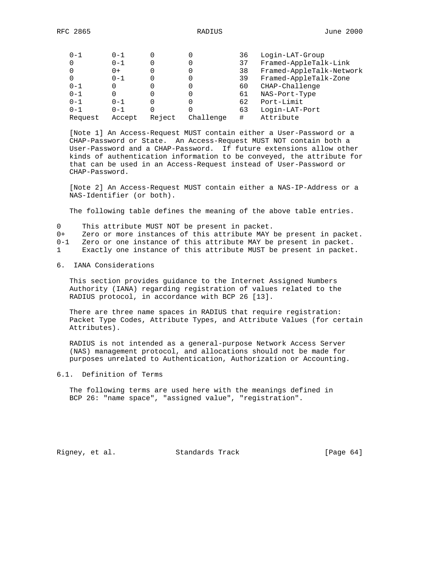| $0 - 1$ | $0 - 1$ |        |           | 36 | Login-LAT-Group          |
|---------|---------|--------|-----------|----|--------------------------|
|         | $0 - 1$ |        |           | 37 | Framed-AppleTalk-Link    |
|         | 0+      |        |           | 38 | Framed-AppleTalk-Network |
|         | $0 - 1$ |        |           | 39 | Framed-AppleTalk-Zone    |
| $0 - 1$ |         |        |           | 60 | CHAP-Challenge           |
| $0 - 1$ |         |        |           | 61 | NAS-Port-Type            |
| $0 - 1$ | $0 - 1$ |        |           | 62 | Port-Limit               |
| $0 - 1$ | $0 - 1$ |        |           | 63 | Login-LAT-Port           |
| Request | Accept  | Reject | Challenge | #  | Attribute                |
|         |         |        |           |    |                          |

 [Note 1] An Access-Request MUST contain either a User-Password or a CHAP-Password or State. An Access-Request MUST NOT contain both a User-Password and a CHAP-Password. If future extensions allow other kinds of authentication information to be conveyed, the attribute for that can be used in an Access-Request instead of User-Password or CHAP-Password.

 [Note 2] An Access-Request MUST contain either a NAS-IP-Address or a NAS-Identifier (or both).

The following table defines the meaning of the above table entries.

- 0 This attribute MUST NOT be present in packet.
- 0+ Zero or more instances of this attribute MAY be present in packet.
- 0-1 Zero or one instance of this attribute MAY be present in packet.
- 1 Exactly one instance of this attribute MUST be present in packet.
- 6. IANA Considerations

 This section provides guidance to the Internet Assigned Numbers Authority (IANA) regarding registration of values related to the RADIUS protocol, in accordance with BCP 26 [13].

 There are three name spaces in RADIUS that require registration: Packet Type Codes, Attribute Types, and Attribute Values (for certain Attributes).

 RADIUS is not intended as a general-purpose Network Access Server (NAS) management protocol, and allocations should not be made for purposes unrelated to Authentication, Authorization or Accounting.

6.1. Definition of Terms

 The following terms are used here with the meanings defined in BCP 26: "name space", "assigned value", "registration".

Rigney, et al. Standards Track [Page 64]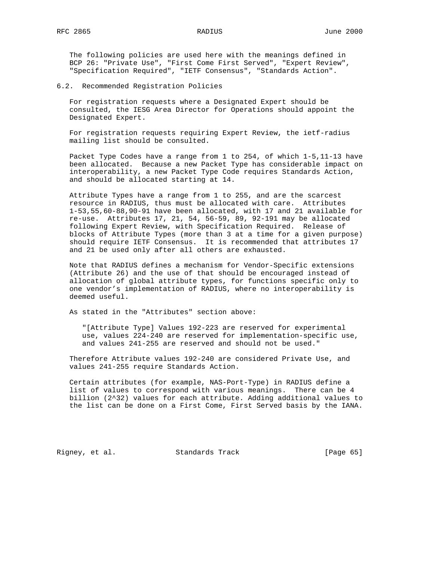The following policies are used here with the meanings defined in BCP 26: "Private Use", "First Come First Served", "Expert Review", "Specification Required", "IETF Consensus", "Standards Action".

6.2. Recommended Registration Policies

 For registration requests where a Designated Expert should be consulted, the IESG Area Director for Operations should appoint the Designated Expert.

 For registration requests requiring Expert Review, the ietf-radius mailing list should be consulted.

 Packet Type Codes have a range from 1 to 254, of which 1-5,11-13 have been allocated. Because a new Packet Type has considerable impact on interoperability, a new Packet Type Code requires Standards Action, and should be allocated starting at 14.

 Attribute Types have a range from 1 to 255, and are the scarcest resource in RADIUS, thus must be allocated with care. Attributes 1-53,55,60-88,90-91 have been allocated, with 17 and 21 available for re-use. Attributes 17, 21, 54, 56-59, 89, 92-191 may be allocated following Expert Review, with Specification Required. Release of blocks of Attribute Types (more than 3 at a time for a given purpose) should require IETF Consensus. It is recommended that attributes 17 and 21 be used only after all others are exhausted.

 Note that RADIUS defines a mechanism for Vendor-Specific extensions (Attribute 26) and the use of that should be encouraged instead of allocation of global attribute types, for functions specific only to one vendor's implementation of RADIUS, where no interoperability is deemed useful.

As stated in the "Attributes" section above:

 "[Attribute Type] Values 192-223 are reserved for experimental use, values 224-240 are reserved for implementation-specific use, and values 241-255 are reserved and should not be used."

 Therefore Attribute values 192-240 are considered Private Use, and values 241-255 require Standards Action.

 Certain attributes (for example, NAS-Port-Type) in RADIUS define a list of values to correspond with various meanings. There can be 4 billion (2^32) values for each attribute. Adding additional values to the list can be done on a First Come, First Served basis by the IANA.

Rigney, et al. Standards Track [Page 65]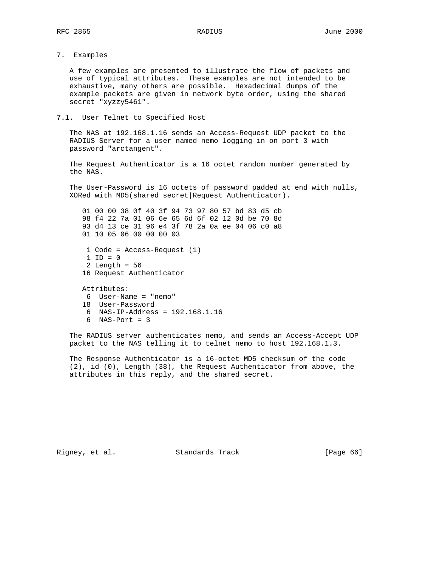7. Examples

 A few examples are presented to illustrate the flow of packets and use of typical attributes. These examples are not intended to be exhaustive, many others are possible. Hexadecimal dumps of the example packets are given in network byte order, using the shared secret "xyzzy5461".

7.1. User Telnet to Specified Host

 The NAS at 192.168.1.16 sends an Access-Request UDP packet to the RADIUS Server for a user named nemo logging in on port 3 with password "arctangent".

 The Request Authenticator is a 16 octet random number generated by the NAS.

 The User-Password is 16 octets of password padded at end with nulls, XORed with MD5(shared secret|Request Authenticator).

 01 00 00 38 0f 40 3f 94 73 97 80 57 bd 83 d5 cb 98 f4 22 7a 01 06 6e 65 6d 6f 02 12 0d be 70 8d 93 d4 13 ce 31 96 e4 3f 78 2a 0a ee 04 06 c0 a8 01 10 05 06 00 00 00 03 1 Code = Access-Request (1)  $1$  ID = 0 2 Length = 56 16 Request Authenticator Attributes: 6 User-Name = "nemo" 18 User-Password

 6 NAS-IP-Address = 192.168.1.16 6 NAS-Port = 3

 The RADIUS server authenticates nemo, and sends an Access-Accept UDP packet to the NAS telling it to telnet nemo to host 192.168.1.3.

 The Response Authenticator is a 16-octet MD5 checksum of the code (2), id (0), Length (38), the Request Authenticator from above, the attributes in this reply, and the shared secret.

Rigney, et al. Standards Track [Page 66]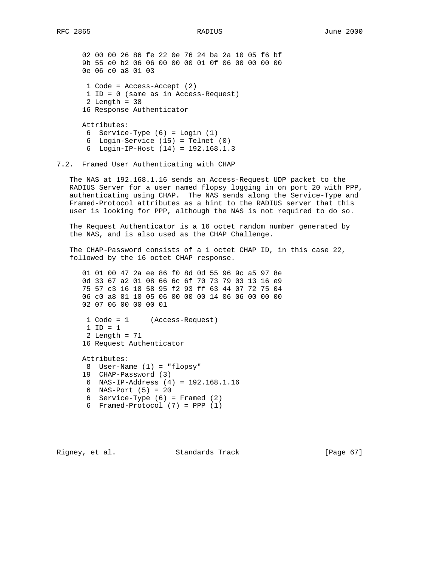02 00 00 26 86 fe 22 0e 76 24 ba 2a 10 05 f6 bf 9b 55 e0 b2 06 06 00 00 00 01 0f 06 00 00 00 00 0e 06 c0 a8 01 03 1 Code = Access-Accept (2) 1 ID = 0 (same as in Access-Request) 2 Length = 38 16 Response Authenticator Attributes: 6 Service-Type (6) = Login (1) 6 Login-Service (15) = Telnet (0) 6 Login-IP-Host (14) = 192.168.1.3

## 7.2. Framed User Authenticating with CHAP

 The NAS at 192.168.1.16 sends an Access-Request UDP packet to the RADIUS Server for a user named flopsy logging in on port 20 with PPP, authenticating using CHAP. The NAS sends along the Service-Type and Framed-Protocol attributes as a hint to the RADIUS server that this user is looking for PPP, although the NAS is not required to do so.

 The Request Authenticator is a 16 octet random number generated by the NAS, and is also used as the CHAP Challenge.

 The CHAP-Password consists of a 1 octet CHAP ID, in this case 22, followed by the 16 octet CHAP response.

 01 01 00 47 2a ee 86 f0 8d 0d 55 96 9c a5 97 8e 0d 33 67 a2 01 08 66 6c 6f 70 73 79 03 13 16 e9 75 57 c3 16 18 58 95 f2 93 ff 63 44 07 72 75 04 06 c0 a8 01 10 05 06 00 00 00 14 06 06 00 00 00 02 07 06 00 00 00 01 1 Code = 1 (Access-Request)  $1$  ID =  $1$  2 Length = 71 16 Request Authenticator Attributes: 8 User-Name (1) = "flopsy" 19 CHAP-Password (3) 6 NAS-IP-Address (4) = 192.168.1.16 6 NAS-Port (5) = 20 6 Service-Type (6) = Framed (2) 6 Framed-Protocol (7) = PPP (1)

Rigney, et al. Standards Track [Page 67]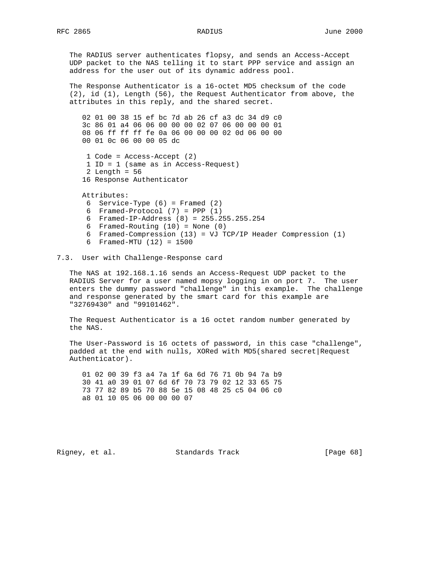The RADIUS server authenticates flopsy, and sends an Access-Accept UDP packet to the NAS telling it to start PPP service and assign an address for the user out of its dynamic address pool.

 The Response Authenticator is a 16-octet MD5 checksum of the code (2), id (1), Length (56), the Request Authenticator from above, the attributes in this reply, and the shared secret.

 02 01 00 38 15 ef bc 7d ab 26 cf a3 dc 34 d9 c0 3c 86 01 a4 06 06 00 00 00 02 07 06 00 00 00 01 08 06 ff ff ff fe 0a 06 00 00 00 02 0d 06 00 00 00 01 0c 06 00 00 05 dc 1 Code = Access-Accept (2) 1 ID = 1 (same as in Access-Request) 2 Length  $= 56$  16 Response Authenticator Attributes: 6 Service-Type (6) = Framed (2) 6 Framed-Protocol (7) = PPP (1)

 6 Framed-IP-Address (8) = 255.255.255.254 6 Framed-Routing (10) = None (0) 6 Framed-Compression (13) = VJ TCP/IP Header Compression (1) 6 Framed-MTU (12) = 1500

# 7.3. User with Challenge-Response card

 The NAS at 192.168.1.16 sends an Access-Request UDP packet to the RADIUS Server for a user named mopsy logging in on port 7. The user enters the dummy password "challenge" in this example. The challenge and response generated by the smart card for this example are "32769430" and "99101462".

 The Request Authenticator is a 16 octet random number generated by the NAS.

 The User-Password is 16 octets of password, in this case "challenge", padded at the end with nulls, XORed with MD5(shared secret|Request Authenticator).

 01 02 00 39 f3 a4 7a 1f 6a 6d 76 71 0b 94 7a b9 30 41 a0 39 01 07 6d 6f 70 73 79 02 12 33 65 75 73 77 82 89 b5 70 88 5e 15 08 48 25 c5 04 06 c0 a8 01 10 05 06 00 00 00 07

Rigney, et al. Standards Track [Page 68]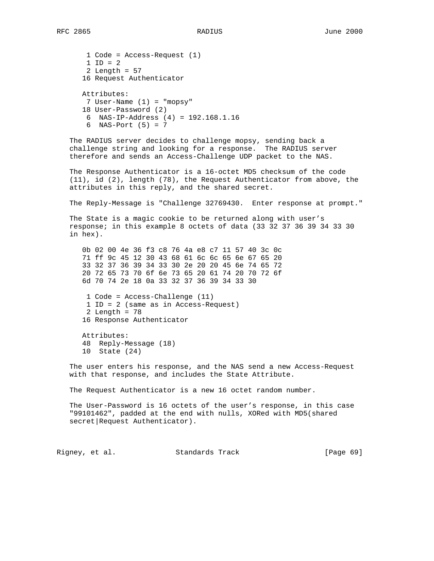1 Code = Access-Request (1)  $1$  ID = 2 2 Length = 57 16 Request Authenticator Attributes: 7 User-Name (1) = "mopsy" 18 User-Password (2) 6 NAS-IP-Address (4) = 192.168.1.16 6 NAS-Port (5) = 7

 The RADIUS server decides to challenge mopsy, sending back a challenge string and looking for a response. The RADIUS server therefore and sends an Access-Challenge UDP packet to the NAS.

 The Response Authenticator is a 16-octet MD5 checksum of the code (11), id (2), length (78), the Request Authenticator from above, the attributes in this reply, and the shared secret.

The Reply-Message is "Challenge 32769430. Enter response at prompt."

 The State is a magic cookie to be returned along with user's response; in this example 8 octets of data (33 32 37 36 39 34 33 30 in hex).

 0b 02 00 4e 36 f3 c8 76 4a e8 c7 11 57 40 3c 0c 71 ff 9c 45 12 30 43 68 61 6c 6c 65 6e 67 65 20 33 32 37 36 39 34 33 30 2e 20 20 45 6e 74 65 72 20 72 65 73 70 6f 6e 73 65 20 61 74 20 70 72 6f 6d 70 74 2e 18 0a 33 32 37 36 39 34 33 30

 1 Code = Access-Challenge (11) 1 ID = 2 (same as in Access-Request) 2 Length = 78 16 Response Authenticator

 Attributes: 48 Reply-Message (18) 10 State (24)

 The user enters his response, and the NAS send a new Access-Request with that response, and includes the State Attribute.

The Request Authenticator is a new 16 octet random number.

 The User-Password is 16 octets of the user's response, in this case "99101462", padded at the end with nulls, XORed with MD5(shared secret | Request Authenticator).

Rigney, et al. Standards Track [Page 69]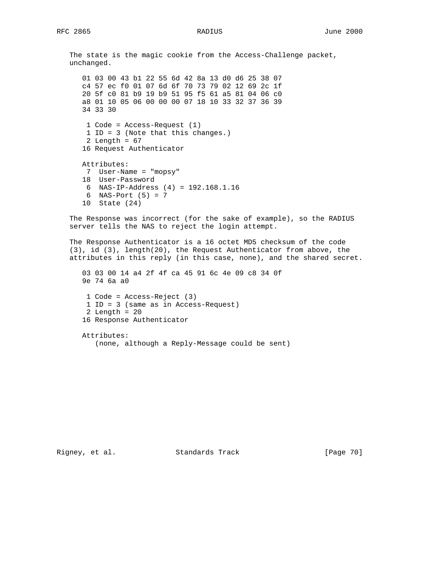10 State (24)

 The state is the magic cookie from the Access-Challenge packet, unchanged.

 01 03 00 43 b1 22 55 6d 42 8a 13 d0 d6 25 38 07 c4 57 ec f0 01 07 6d 6f 70 73 79 02 12 69 2c 1f 20 5f c0 81 b9 19 b9 51 95 f5 61 a5 81 04 06 c0 a8 01 10 05 06 00 00 00 07 18 10 33 32 37 36 39 34 33 30 1 Code = Access-Request (1) 1 ID = 3 (Note that this changes.) 2 Length =  $67$  16 Request Authenticator Attributes: 7 User-Name = "mopsy" 18 User-Password 6 NAS-IP-Address (4) = 192.168.1.16 6 NAS-Port (5) = 7

 The Response was incorrect (for the sake of example), so the RADIUS server tells the NAS to reject the login attempt.

 The Response Authenticator is a 16 octet MD5 checksum of the code (3), id (3), length(20), the Request Authenticator from above, the attributes in this reply (in this case, none), and the shared secret.

```
 03 03 00 14 a4 2f 4f ca 45 91 6c 4e 09 c8 34 0f
9e 74 6a a0
 1 Code = Access-Reject (3)
 1 ID = 3 (same as in Access-Request)
2 Length = 20
16 Response Authenticator
Attributes:
```
(none, although a Reply-Message could be sent)

Rigney, et al. Standards Track [Page 70]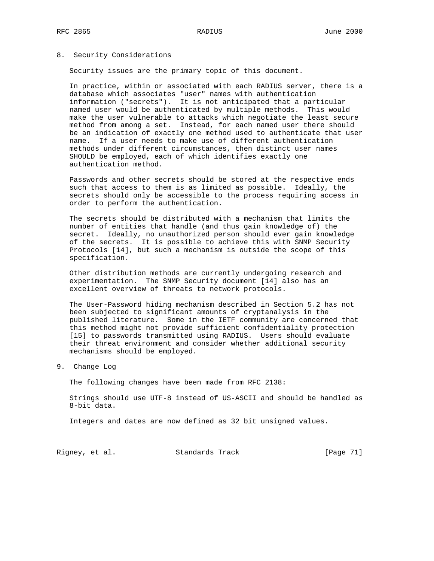# 8. Security Considerations

Security issues are the primary topic of this document.

 In practice, within or associated with each RADIUS server, there is a database which associates "user" names with authentication information ("secrets"). It is not anticipated that a particular named user would be authenticated by multiple methods. This would make the user vulnerable to attacks which negotiate the least secure method from among a set. Instead, for each named user there should be an indication of exactly one method used to authenticate that user name. If a user needs to make use of different authentication methods under different circumstances, then distinct user names SHOULD be employed, each of which identifies exactly one authentication method.

 Passwords and other secrets should be stored at the respective ends such that access to them is as limited as possible. Ideally, the secrets should only be accessible to the process requiring access in order to perform the authentication.

 The secrets should be distributed with a mechanism that limits the number of entities that handle (and thus gain knowledge of) the secret. Ideally, no unauthorized person should ever gain knowledge of the secrets. It is possible to achieve this with SNMP Security Protocols [14], but such a mechanism is outside the scope of this specification.

 Other distribution methods are currently undergoing research and experimentation. The SNMP Security document [14] also has an excellent overview of threats to network protocols.

 The User-Password hiding mechanism described in Section 5.2 has not been subjected to significant amounts of cryptanalysis in the published literature. Some in the IETF community are concerned that this method might not provide sufficient confidentiality protection [15] to passwords transmitted using RADIUS. Users should evaluate their threat environment and consider whether additional security mechanisms should be employed.

9. Change Log

The following changes have been made from RFC 2138:

 Strings should use UTF-8 instead of US-ASCII and should be handled as 8-bit data.

Integers and dates are now defined as 32 bit unsigned values.

Rigney, et al. Standards Track [Page 71]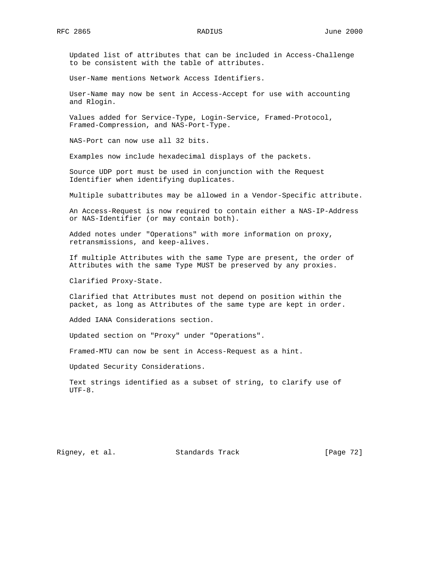Updated list of attributes that can be included in Access-Challenge to be consistent with the table of attributes.

User-Name mentions Network Access Identifiers.

 User-Name may now be sent in Access-Accept for use with accounting and Rlogin.

 Values added for Service-Type, Login-Service, Framed-Protocol, Framed-Compression, and NAS-Port-Type.

NAS-Port can now use all 32 bits.

Examples now include hexadecimal displays of the packets.

 Source UDP port must be used in conjunction with the Request Identifier when identifying duplicates.

Multiple subattributes may be allowed in a Vendor-Specific attribute.

 An Access-Request is now required to contain either a NAS-IP-Address or NAS-Identifier (or may contain both).

 Added notes under "Operations" with more information on proxy, retransmissions, and keep-alives.

 If multiple Attributes with the same Type are present, the order of Attributes with the same Type MUST be preserved by any proxies.

Clarified Proxy-State.

 Clarified that Attributes must not depend on position within the packet, as long as Attributes of the same type are kept in order.

Added IANA Considerations section.

Updated section on "Proxy" under "Operations".

Framed-MTU can now be sent in Access-Request as a hint.

Updated Security Considerations.

 Text strings identified as a subset of string, to clarify use of  $UTF-8$ .

Rigney, et al. Standards Track [Page 72]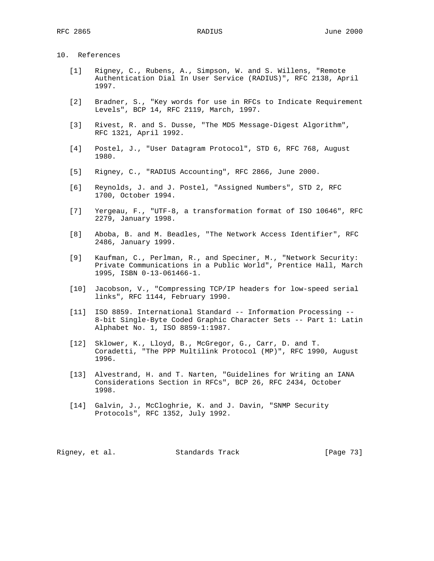## 10. References

- [1] Rigney, C., Rubens, A., Simpson, W. and S. Willens, "Remote Authentication Dial In User Service (RADIUS)", RFC 2138, April 1997.
- [2] Bradner, S., "Key words for use in RFCs to Indicate Requirement Levels", BCP 14, RFC 2119, March, 1997.
- [3] Rivest, R. and S. Dusse, "The MD5 Message-Digest Algorithm", RFC 1321, April 1992.
- [4] Postel, J., "User Datagram Protocol", STD 6, RFC 768, August 1980.
- [5] Rigney, C., "RADIUS Accounting", RFC 2866, June 2000.
- [6] Reynolds, J. and J. Postel, "Assigned Numbers", STD 2, RFC 1700, October 1994.
- [7] Yergeau, F., "UTF-8, a transformation format of ISO 10646", RFC 2279, January 1998.
- [8] Aboba, B. and M. Beadles, "The Network Access Identifier", RFC 2486, January 1999.
- [9] Kaufman, C., Perlman, R., and Speciner, M., "Network Security: Private Communications in a Public World", Prentice Hall, March 1995, ISBN 0-13-061466-1.
- [10] Jacobson, V., "Compressing TCP/IP headers for low-speed serial links", RFC 1144, February 1990.
- [11] ISO 8859. International Standard -- Information Processing -- 8-bit Single-Byte Coded Graphic Character Sets -- Part 1: Latin Alphabet No. 1, ISO 8859-1:1987.
- [12] Sklower, K., Lloyd, B., McGregor, G., Carr, D. and T. Coradetti, "The PPP Multilink Protocol (MP)", RFC 1990, August 1996.
- [13] Alvestrand, H. and T. Narten, "Guidelines for Writing an IANA Considerations Section in RFCs", BCP 26, RFC 2434, October 1998.
- [14] Galvin, J., McCloghrie, K. and J. Davin, "SNMP Security Protocols", RFC 1352, July 1992.

Rigney, et al. Standards Track [Page 73]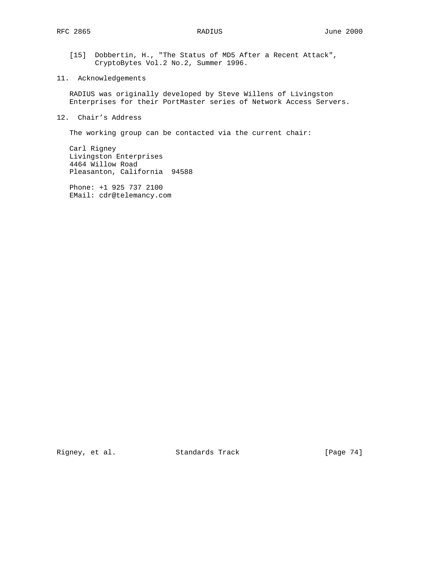- [15] Dobbertin, H., "The Status of MD5 After a Recent Attack", CryptoBytes Vol.2 No.2, Summer 1996.
- 11. Acknowledgements

 RADIUS was originally developed by Steve Willens of Livingston Enterprises for their PortMaster series of Network Access Servers.

12. Chair's Address

The working group can be contacted via the current chair:

 Carl Rigney Livingston Enterprises 4464 Willow Road Pleasanton, California 94588

 Phone: +1 925 737 2100 EMail: cdr@telemancy.com

Rigney, et al. Standards Track [Page 74]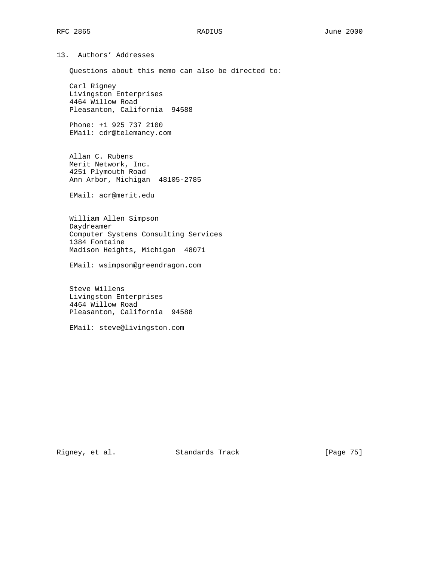# 13. Authors' Addresses

Questions about this memo can also be directed to:

 Carl Rigney Livingston Enterprises 4464 Willow Road Pleasanton, California 94588

 Phone: +1 925 737 2100 EMail: cdr@telemancy.com

 Allan C. Rubens Merit Network, Inc. 4251 Plymouth Road Ann Arbor, Michigan 48105-2785

EMail: acr@merit.edu

 William Allen Simpson Daydreamer Computer Systems Consulting Services 1384 Fontaine Madison Heights, Michigan 48071

EMail: wsimpson@greendragon.com

 Steve Willens Livingston Enterprises 4464 Willow Road Pleasanton, California 94588

EMail: steve@livingston.com

Rigney, et al. Standards Track [Page 75]